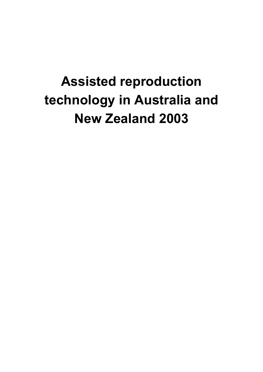# **Assisted reproduction technology in Australia and New Zealand 2003**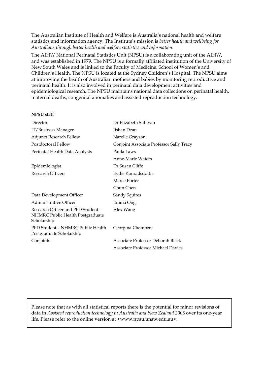The Australian Institute of Health and Welfare is Australia's national health and welfare statistics and information agency. The Institute's mission is *better health and wellbeing for Australians through better health and welfare statistics and information*.

The AIHW National Perinatal Statistics Unit (NPSU) is a collaborating unit of the AIHW, and was established in 1979. The NPSU is a formally affiliated institution of the University of New South Wales and is linked to the Faculty of Medicine, School of Women's and Children's Health. The NPSU is located at the Sydney Children's Hospital. The NPSU aims at improving the health of Australian mothers and babies by monitoring reproductive and perinatal health. It is also involved in perinatal data development activities and epidemiological research. The NPSU maintains national data collections on perinatal health, maternal deaths, congenital anomalies and assisted reproduction technology.

### **NPSU staff**

| Director                                                                              | Dr Elizabeth Sullivan                    |
|---------------------------------------------------------------------------------------|------------------------------------------|
| IT/Business Manager                                                                   | Jishan Dean                              |
| <b>Adjunct Research Fellow</b>                                                        | Narelle Grayson                          |
| Postdoctoral Fellow                                                                   | Conjoint Associate Professor Sally Tracy |
| Perinatal Health Data Analysts                                                        | Paula Laws                               |
|                                                                                       | Anne-Marie Waters                        |
| Epidemiologist                                                                        | Dr Susan Cliffe                          |
| <b>Research Officers</b>                                                              | Eydis Konradsdottir                      |
|                                                                                       | Maree Porter                             |
|                                                                                       | Chun Chen                                |
| Data Development Officer                                                              | Sandy Squires                            |
| Administrative Officer                                                                | Emma Ong                                 |
| Research Officer and PhD Student -<br>NHMRC Public Health Postgraduate<br>Scholarship | Alex Wang                                |
| PhD Student - NHMRC Public Health<br>Postgraduate Scholarship                         | Georgina Chambers                        |
| Conjoints                                                                             | Associate Professor Deborah Black        |
|                                                                                       | Associate Professor Michael Davies       |

Please note that as with all statistical reports there is the potential for minor revisions of data in *Assisted reproduction technology in Australia and New Zealand 2003* over its one-year life. Please refer to the online version at <www.npsu.unsw.edu.au>.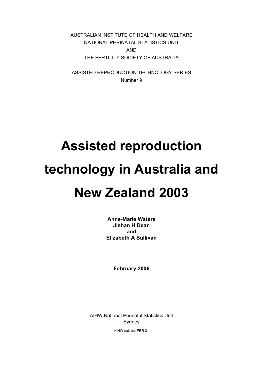AUSTRALIAN INSTITUTE OF HEALTH AND WELFARE NATIONAL PERINATAL STATISTICS UNIT AND THE FERTILITY SOCIETY OF AUSTRALIA

ASSISTED REPRODUCTION TECHNOLOGY SERIES Number 9

# **Assisted reproduction technology in Australia and New Zealand 2003**

**Anne-Marie Waters Jishan H Dean and Elizabeth A Sullivan** 

**February 2006** 

AIHW National Perinatal Statistics Unit Sydney

AIHW cat. no. PER 31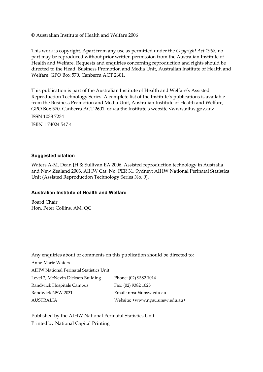## © Australian Institute of Health and Welfare 2006

This work is copyright. Apart from any use as permitted under the *Copyright Act 1968*, no part may be reproduced without prior written permission from the Australian Institute of Health and Welfare. Requests and enquiries concerning reproduction and rights should be directed to the Head, Business Promotion and Media Unit, Australian Institute of Health and Welfare, GPO Box 570, Canberra ACT 2601.

This publication is part of the Australian Institute of Health and Welfare's Assisted Reproduction Technology Series. A complete list of the Institute's publications is available from the Business Promotion and Media Unit, Australian Institute of Health and Welfare, GPO Box 570, Canberra ACT 2601, or via the Institute's website <www.aihw.gov.au>.

ISSN 1038 7234 ISBN 1 74024 547 4

### **Suggested citation**

Waters A-M, Dean JH & Sullivan EA 2006. Assisted reproduction technology in Australia and New Zealand 2003. AIHW Cat. No. PER 31. Sydney: AIHW National Perinatal Statistics Unit (Assisted Reproduction Technology Series No. 9).

## **Australian Institute of Health and Welfare**

Board Chair Hon. Peter Collins, AM, QC

|                                         | Any enquiries about or comments on this publication should be directed to: |
|-----------------------------------------|----------------------------------------------------------------------------|
| <b>Anne-Marie Waters</b>                |                                                                            |
| AIHW National Perinatal Statistics Unit |                                                                            |
| Level 2, McNevin Dickson Building       | Phone: (02) 9382 1014                                                      |
| Randwick Hospitals Campus               | Fax: (02) 9382 1025                                                        |
| Randwick NSW 2031                       | Email: npsu@unsw.edu.au                                                    |
| <b>AUSTRALIA</b>                        | Website: <www.npsu.unsw.edu.au></www.npsu.unsw.edu.au>                     |

Published by the AIHW National Perinatal Statistics Unit Printed by National Capital Printing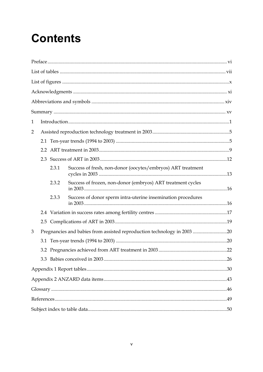# **Contents**

| 1 |               |       |                                                                         |  |
|---|---------------|-------|-------------------------------------------------------------------------|--|
| 2 |               |       |                                                                         |  |
|   |               |       |                                                                         |  |
|   | $2.2^{\circ}$ |       |                                                                         |  |
|   |               |       |                                                                         |  |
|   |               | 2.3.1 | Success of fresh, non-donor (oocytes/embryos) ART treatment             |  |
|   |               | 2.3.2 | Success of frozen, non-donor (embryos) ART treatment cycles             |  |
|   |               | 2.3.3 | Success of donor sperm intra-uterine insemination procedures            |  |
|   |               |       |                                                                         |  |
|   |               |       |                                                                         |  |
| 3 |               |       | Pregnancies and babies from assisted reproduction technology in 2003 20 |  |
|   |               |       |                                                                         |  |
|   |               |       |                                                                         |  |
|   |               |       |                                                                         |  |
|   |               |       |                                                                         |  |
|   |               |       |                                                                         |  |
|   |               |       |                                                                         |  |
|   |               |       |                                                                         |  |
|   |               |       |                                                                         |  |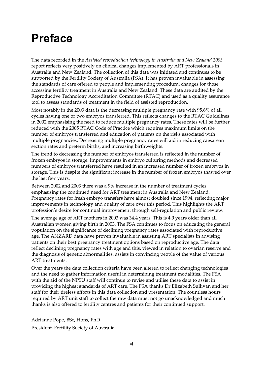# **Preface**

The data recorded in the *Assisted reproduction technology in Australia and New Zealand 2003* report reflects very positively on clinical changes implemented by ART professionals in Australia and New Zealand. The collection of this data was initiated and continues to be supported by the Fertility Society of Australia (FSA). It has proven invaluable in assessing the standards of care offered to people and implementing procedural changes for those accessing fertility treatment in Australia and New Zealand. These data are audited by the Reproductive Technology Accreditation Committee (RTAC) and used as a quality assurance tool to assess standards of treatment in the field of assisted reproduction.

Most notably in the 2003 data is the decreasing multiple pregnancy rate with 95.6% of all cycles having one or two embryos transferred. This reflects changes to the RTAC Guidelines in 2002 emphasising the need to reduce multiple pregnancy rates. These rates will be further reduced with the 2005 RTAC Code of Practice which requires maximum limits on the number of embryos transferred and education of patients on the risks associated with multiple pregnancies. Decreasing multiple pregnancy rates will aid in reducing caesarean section rates and preterm births, and increasing birthweights.

The trend to decreasing the number of embryos transferred is reflected in the number of frozen embryos in storage. Improvements in embryo culturing methods and decreased numbers of embryos transferred have resulted in an increased number of frozen embryos in storage. This is despite the significant increase in the number of frozen embryos thawed over the last few years.

Between 2002 and 2003 there was a 9% increase in the number of treatment cycles, emphasising the continued need for ART treatment in Australia and New Zealand. Pregnancy rates for fresh embryo transfers have almost doubled since 1994, reflecting major improvements in technology and quality of care over this period. This highlights the ART profession's desire for continual improvement through self-regulation and public review.

The average age of ART mothers in 2003 was 34.4 years. This is 4.9 years older than all Australian women giving birth in 2003. The FSA continues to focus on educating the general population on the significance of declining pregnancy rates associated with reproductive age. The ANZARD data have proven invaluable in assisting ART specialists in advising patients on their best pregnancy treatment options based on reproductive age. The data reflect declining pregnancy rates with age and this, viewed in relation to ovarian reserve and the diagnosis of genetic abnormalities, assists in convincing people of the value of various ART treatments.

Over the years the data collection criteria have been altered to reflect changing technologies and the need to gather information useful in determining treatment modalities. The FSA with the aid of the NPSU staff will continue to revise and utilise these data to assist in providing the highest standards of ART care. The FSA thanks Dr Elizabeth Sullivan and her staff for their tireless efforts in this data collection and presentation. The countless hours required by ART unit staff to collect the raw data must not go unacknowledged and much thanks is also offered to fertility centres and patients for their continued support.

Adrianne Pope, BSc, Hons, PhD President, Fertility Society of Australia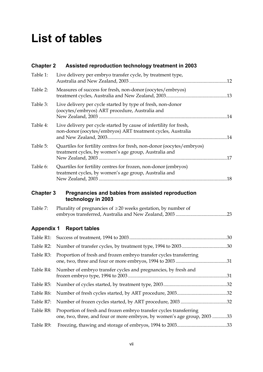# **List of tables**

| <b>Chapter 2</b>  | Assisted reproduction technology treatment in 2003                                                                                             |     |
|-------------------|------------------------------------------------------------------------------------------------------------------------------------------------|-----|
| Table 1:          | Live delivery per embryo transfer cycle, by treatment type,                                                                                    |     |
| Table 2:          | Measures of success for fresh, non-donor (oocytes/embryos)                                                                                     |     |
| Table 3:          | Live delivery per cycle started by type of fresh, non-donor<br>(oocytes/embryos) ART procedure, Australia and                                  |     |
| Table 4:          | Live delivery per cycle started by cause of infertility for fresh,<br>non-donor (oocytes/embryos) ART treatment cycles, Australia              |     |
| Table 5:          | Quartiles for fertility centres for fresh, non-donor (oocytes/embryos)<br>treatment cycles, by women's age group, Australia and                |     |
| Table 6:          | Quartiles for fertility centres for frozen, non-donor (embryos)<br>treatment cycles, by women's age group, Australia and                       |     |
| <b>Chapter 3</b>  | Pregnancies and babies from assisted reproduction<br>technology in 2003                                                                        |     |
| Table 7:          | Plurality of pregnancies of $\geq 20$ weeks gestation, by number of                                                                            | .23 |
| <b>Appendix 1</b> | <b>Report tables</b>                                                                                                                           |     |
| Table R1:         |                                                                                                                                                |     |
| Table R2:         |                                                                                                                                                |     |
| Table R3:         | Proportion of fresh and frozen embryo transfer cycles transferring                                                                             |     |
| Table R4:         | Number of embryo transfer cycles and pregnancies, by fresh and                                                                                 |     |
| Table R5:         |                                                                                                                                                |     |
| Table R6:         |                                                                                                                                                |     |
| Table R7:         |                                                                                                                                                |     |
| Table R8:         | Proportion of fresh and frozen embryo transfer cycles transferring<br>one, two, three, and four or more embryos, by women's age group, 2003 33 |     |
| Table R9:         |                                                                                                                                                |     |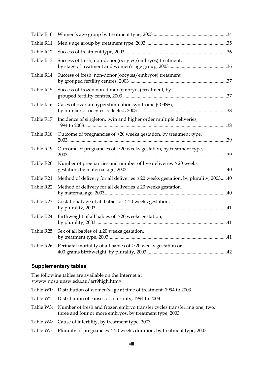|            | Table R13: Success of fresh, non-donor (oocytes/embryos) treatment,                        |    |
|------------|--------------------------------------------------------------------------------------------|----|
|            | Table R14: Success of fresh, non-donor (oocytes/embryos) treatment,                        |    |
| Table R15: | Success of frozen non-donor (embryos) treatment, by                                        |    |
|            | Table R16: Cases of ovarian hyperstimulation syndrome (OHSS),                              | 38 |
| Table R17: | Incidence of singleton, twin and higher order multiple deliveries,                         |    |
|            | Table R18: Outcome of pregnancies of <20 weeks gestation, by treatment type,               |    |
|            | Table R19: Outcome of pregnancies of $\geq$ 20 weeks gestation, by treatment type,         |    |
|            | Table R20: Number of pregnancies and number of live deliveries $\geq 20$ weeks             |    |
|            | Table R21: Method of delivery for all deliveries ≥20 weeks gestation, by plurality, 200340 |    |
| Table R22: | Method of delivery for all deliveries $\geq 20$ weeks gestation,                           |    |
| Table R23: | Gestational age of all babies of $\geq 20$ weeks gestation,                                |    |
|            | Table R24: Birthweight of all babies of $\geq$ 20 weeks gestation,                         |    |
|            | Table R25: Sex of all babies of $\geq 20$ weeks gestation,                                 |    |
|            | Table R26: Perinatal mortality of all babies of $\geq$ 20 weeks gestation or               |    |

# **Supplementary tables**

The following tables are available on the Internet at <www.npsu.unsw.edu.au/art9high.htm>

| Table W1: Distribution of women's age at time of treatment, 1994 to 2003                                                                      |
|-----------------------------------------------------------------------------------------------------------------------------------------------|
| Table W2: Distribution of causes of infertility, 1994 to 2003                                                                                 |
| Table W3: Number of fresh and frozen embryo transfer cycles transferring one, two,<br>three and four or more embryos, by treatment type, 2003 |
| Table W4: Cause of infertility, by treatment type, 2003                                                                                       |
| Table W5: Plurality of pregnancies $\geq 20$ weeks duration, by treatment type, 2003                                                          |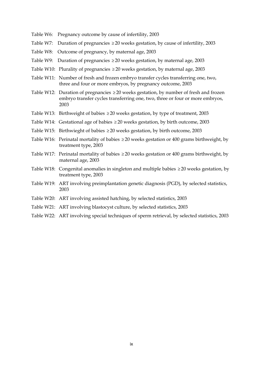- Table W6: Pregnancy outcome by cause of infertility, 2003
- Table W7: Duration of pregnancies  $\geq$  20 weeks gestation, by cause of infertility, 2003
- Table W8: Outcome of pregnancy, by maternal age, 2003
- Table W9: Duration of pregnancies  $\geq 20$  weeks gestation, by maternal age, 2003
- Table W10: Plurality of pregnancies  $\geq 20$  weeks gestation, by maternal age, 2003
- Table W11: Number of fresh and frozen embryo transfer cycles transferring one, two, three and four or more embryos, by pregnancy outcome, 2003
- Table W12: Duration of pregnancies  $\geq 20$  weeks gestation, by number of fresh and frozen embryo transfer cycles transferring one, two, three or four or more embryos, 2003
- Table W13: Birthweight of babies ≥ 20 weeks gestation, by type of treatment, 2003
- Table W14: Gestational age of babies  $\geq 20$  weeks gestation, by birth outcome, 2003
- Table W15: Birthwieght of babies ≥ 20 weeks gestation, by birth outcome, 2003
- Table W16: Perinatal mortality of babies  $\geq 20$  weeks gestation or 400 grams birthweight, by treatment type, 2003
- Table W17: Perinatal mortality of babies  $\geq 20$  weeks gestation or 400 grams birthweight, by maternal age, 2003
- Table W18: Congenital anomalies in singleton and multiple babies ≥ 20 weeks gestation, by treatment type, 2003
- Table W19: ART involving preimplantation genetic diagnosis (PGD), by selected statistics, 2003
- Table W20: ART involving assisted hatching, by selected statistics, 2003
- Table W21: ART involving blastocyst culture, by selected statistics, 2003
- Table W22: ART involving special techniques of sperm retrieval, by selected statistics, 2003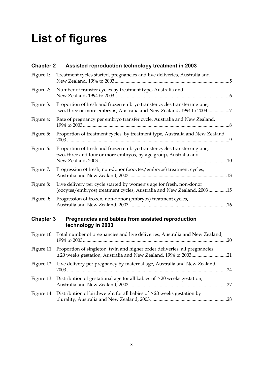# **List of figures**

| <b>Chapter 2</b> | Assisted reproduction technology treatment in 2003                                                                                                      |     |
|------------------|---------------------------------------------------------------------------------------------------------------------------------------------------------|-----|
| Figure 1:        | Treatment cycles started, pregnancies and live deliveries, Australia and                                                                                | 5   |
| Figure 2:        | Number of transfer cycles by treatment type, Australia and<br>. 6                                                                                       |     |
| Figure 3:        | Proportion of fresh and frozen embryo transfer cycles transferring one,<br>two, three or more embryos, Australia and New Zealand, 1994 to 20037         |     |
| Figure 4:        | Rate of pregnancy per embryo transfer cycle, Australia and New Zealand,                                                                                 | .8  |
| Figure 5:        | Proportion of treatment cycles, by treatment type, Australia and New Zealand,                                                                           |     |
| Figure 6:        | Proportion of fresh and frozen embryo transfer cycles transferring one,<br>two, three and four or more embryos, by age group, Australia and             |     |
| Figure 7:        | Progression of fresh, non-donor (oocytes/embryos) treatment cycles,                                                                                     |     |
| Figure 8:        | Live delivery per cycle started by women's age for fresh, non-donor<br>(oocytes/embryos) treatment cycles, Australia and New Zealand, 200315            |     |
| Figure 9:        | Progression of frozen, non-donor (embryos) treatment cycles,                                                                                            |     |
| <b>Chapter 3</b> | Pregnancies and babies from assisted reproduction<br>technology in 2003                                                                                 |     |
|                  | Figure 10: Total number of pregnancies and live deliveries, Australia and New Zealand,                                                                  |     |
|                  | Figure 11: Proportion of singleton, twin and higher order deliveries, all pregnancies<br>≥20 weeks gestation, Australia and New Zealand, 1994 to 200321 |     |
|                  | Figure 12: Live delivery per pregnancy by maternal age, Australia and New Zealand,<br>. 24                                                              |     |
|                  | Figure 13: Distribution of gestational age for all babies of $\geq$ 20 weeks gestation,                                                                 | .27 |

| Figure 14: Distribution of birthweight for all babies of $\geq 20$ weeks gestation by |  |
|---------------------------------------------------------------------------------------|--|
|                                                                                       |  |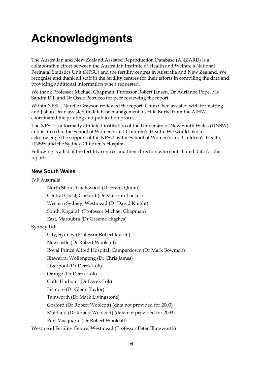# **Acknowledgments**

The Australian and New Zealand Assisted Reproduction Database (ANZARD) is a collaborative effort between the Australian Institute of Health and Welfare's National Perinatal Statistics Unit (NPSU) and the fertility centres in Australia and New Zealand. We recognise and thank all staff in the fertility centres for their efforts in compiling the data and providing additional information when requested.

We thank Professor Michael Chapman, Professor Robert Jansen, Dr Adrianne Pope, Ms Sandra Dill and Dr Ossie Petrucco for peer reviewing the report.

Within NPSU, Narelle Grayson reviewed the report, Chun Chen assisted with formatting and Jishan Dean assisted in database management. Cecilia Burke from the AIHW coordinated the printing and publication process.

The NPSU is a formally affiliated institution of the University of New South Wales (UNSW) and is linked to the School of Women's and Children's Health. We would like to acknowledge the support of the NPSU by the School of Women's and Children's Health, UNSW and the Sydney Children's Hospital.

Following is a list of the fertility centres and their directors who contributed data for this report:

# **New South Wales**

IVF Australia

North Shore, Chatswood (Dr Frank Quinn)

Central Coast, Gosford (Dr Malcolm Tucker)

Western Sydney, Westmead (Dr David Knight)

South, Kogarah (Professor Michael Chapman)

East, Maroubra (Dr Graeme Hughes)

Sydney IVF

City, Sydney (Professor Robert Jansen)

Newcastle (Dr Robert Woolcott)

Royal Prince Alfred Hospital, Camperdown (Dr Mark Bowman)

Illawarra, Wollongong (Dr Chris James)

Liverpool (Dr Derek Lok)

Orange (Dr Derek Lok)

Coffs Harbour (Dr Derek Lok)

Lismore (Dr Glenn Taylor)

Tamworth (Dr Mark Livingstone)

Gosford (Dr Robert Woolcott) (data not provided for 2003)

Maitland (Dr Robert Woolcott) (data not provided for 2003)

Port Macquarie (Dr Robert Woolcott)

Westmead Fertility Centre, Westmead (Professor Peter Illingworth)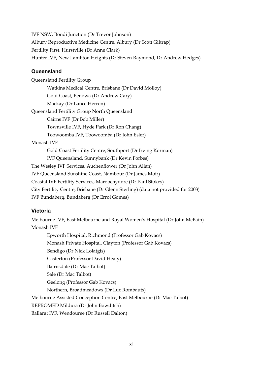IVF NSW, Bondi Junction (Dr Trevor Johnson) Albury Reproductive Medicine Centre, Albury (Dr Scott Giltrap) Fertility First, Hurstville (Dr Anne Clark) Hunter IVF, New Lambton Heights (Dr Steven Raymond, Dr Andrew Hedges)

# **Queensland**

Queensland Fertility Group Watkins Medical Centre, Brisbane (Dr David Molloy) Gold Coast, Benowa (Dr Andrew Cary) Mackay (Dr Lance Herron) Queensland Fertility Group North Queensland Cairns IVF (Dr Bob Miller) Townsville IVF, Hyde Park (Dr Ron Chang) Toowoomba IVF, Toowoomba (Dr John Esler) Monash IVF Gold Coast Fertility Centre, Southport (Dr Irving Korman) IVF Queensland, Sunnybank (Dr Kevin Forbes) The Wesley IVF Services, Auchenflower (Dr John Allan) IVF Queensland Sunshine Coast, Nambour (Dr James Moir) Coastal IVF Fertility Services, Maroochydore (Dr Paul Stokes) City Fertility Centre, Brisbane (Dr Glenn Sterling) (data not provided for 2003) IVF Bundaberg, Bundaberg (Dr Errol Gomes)

# **Victoria**

Melbourne IVF, East Melbourne and Royal Women's Hospital (Dr John McBain) Monash IVF

Epworth Hospital, Richmond (Professor Gab Kovacs) Monash Private Hospital, Clayton (Professor Gab Kovacs) Bendigo (Dr Nick Lolatgis) Casterton (Professor David Healy) Bairnsdale (Dr Mac Talbot) Sale (Dr Mac Talbot) Geelong (Professor Gab Kovacs) Northern, Broadmeadows (Dr Luc Rombauts) Melbourne Assisted Conception Centre, East Melbourne (Dr Mac Talbot) REPROMED Mildura (Dr John Bowditch) Ballarat IVF, Wendouree (Dr Russell Dalton)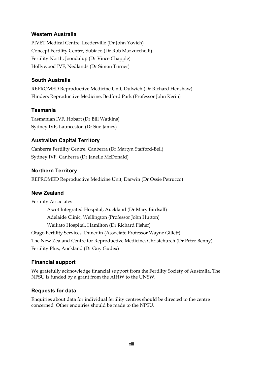# **Western Australia**

PIVET Medical Centre, Leederville (Dr John Yovich) Concept Fertility Centre, Subiaco (Dr Rob Mazzucchelli) Fertility North, Joondalup (Dr Vince Chapple) Hollywood IVF, Nedlands (Dr Simon Turner)

# **South Australia**

REPROMED Reproductive Medicine Unit, Dulwich (Dr Richard Henshaw) Flinders Reproductive Medicine, Bedford Park (Professor John Kerin)

# **Tasmania**

Tasmanian IVF, Hobart (Dr Bill Watkins) Sydney IVF, Launceston (Dr Sue James)

# **Australian Capital Territory**

Canberra Fertility Centre, Canberra (Dr Martyn Stafford-Bell) Sydney IVF, Canberra (Dr Janelle McDonald)

# **Northern Territory**

REPROMED Reproductive Medicine Unit, Darwin (Dr Ossie Petrucco)

# **New Zealand**

Fertility Associates Ascot Integrated Hospital, Auckland (Dr Mary Birdsall) Adelaide Clinic, Wellington (Professor John Hutton) Waikato Hospital, Hamilton (Dr Richard Fisher) Otago Fertility Services, Dunedin (Associate Professor Wayne Gillett) The New Zealand Centre for Reproductive Medicine, Christchurch (Dr Peter Benny) Fertility Plus, Auckland (Dr Guy Gudex)

# **Financial support**

We gratefully acknowledge financial support from the Fertility Society of Australia. The NPSU is funded by a grant from the AIHW to the UNSW.

# **Requests for data**

Enquiries about data for individual fertility centres should be directed to the centre concerned. Other enquiries should be made to the NPSU.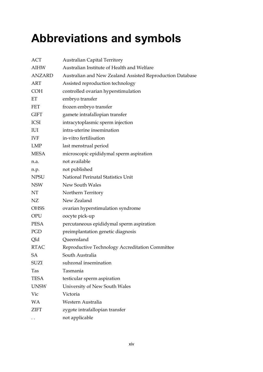# **Abbreviations and symbols**

| <b>ACT</b>    | <b>Australian Capital Territory</b>                       |
|---------------|-----------------------------------------------------------|
| <b>AIHW</b>   | Australian Institute of Health and Welfare                |
| <b>ANZARD</b> | Australian and New Zealand Assisted Reproduction Database |
| <b>ART</b>    | Assisted reproduction technology                          |
| <b>COH</b>    | controlled ovarian hyperstimulation                       |
| ET            | embryo transfer                                           |
| <b>FET</b>    | frozen embryo transfer                                    |
| <b>GIFT</b>   | gamete intrafallopian transfer                            |
| <b>ICSI</b>   | intracytoplasmic sperm injection                          |
| IUI           | intra-uterine insemination                                |
| <b>IVF</b>    | in-vitro fertilisation                                    |
| <b>LMP</b>    | last menstrual period                                     |
| <b>MESA</b>   | microscopic epididymal sperm aspiration                   |
| n.a.          | not available                                             |
| n.p.          | not published                                             |
| <b>NPSU</b>   | National Perinatal Statistics Unit                        |
| <b>NSW</b>    | New South Wales                                           |
| NT            | Northern Territory                                        |
| NZ            | New Zealand                                               |
| <b>OHSS</b>   | ovarian hyperstimulation syndrome                         |
| <b>OPU</b>    | oocyte pick-up                                            |
| <b>PESA</b>   | percutaneous epididymal sperm aspiration                  |
| PGD           | preimplantation genetic diagnosis                         |
| Qld           | Queensland                                                |
| <b>RTAC</b>   | Reproductive Technology Accreditation Committee           |
| SA            | South Australia                                           |
| <b>SUZI</b>   | subzonal insemination                                     |
| Tas           | Tasmania                                                  |
| <b>TESA</b>   | testicular sperm aspiration                               |
| <b>UNSW</b>   | University of New South Wales                             |
| Vic           | Victoria                                                  |
| <b>WA</b>     | Western Australia                                         |
| <b>ZIFT</b>   | zygote intrafallopian transfer                            |
|               | not applicable                                            |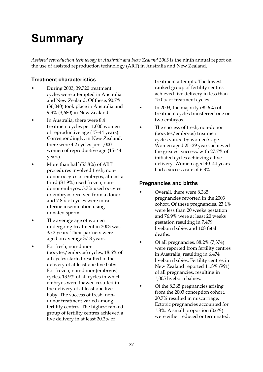# **Summary**

*Assisted reproduction technology in Australia and New Zealand 2003* is the ninth annual report on the use of assisted reproduction technology (ART) in Australia and New Zealand.

# **Treatment characteristics**

- During 2003, 39,720 treatment cycles were attempted in Australia and New Zealand. Of these, 90.7% (36,040) took place in Australia and 9.3% (3,680) in New Zealand.
- In Australia, there were 8.4 treatment cycles per 1,000 women of reproductive age (15–44 years). Correspondingly, in New Zealand, there were 4.2 cycles per 1,000 women of reproductive age (15–44 years).
- More than half (53.8%) of ART procedures involved fresh, nondonor oocytes or embryos, almost a third (31.9%) used frozen, nondonor embryos, 5.7% used oocytes or embryos received from a donor and 7.8% of cycles were intrauterine insemination using donated sperm.
- The average age of women undergoing treatment in 2003 was 35.2 years. Their partners were aged on average 37.8 years.
- For fresh, non-donor (oocytes/embryos) cycles, 18.6% of all cycles started resulted in the delivery of at least one live baby. For frozen, non-donor (embryos) cycles, 13.9% of all cycles in which embryos were thawed resulted in the delivery of at least one live baby. The success of fresh, nondonor treatment varied among fertility centres. The highest ranked group of fertility centres achieved a live delivery in at least 20.2% of

treatment attempts. The lowest ranked group of fertility centres achieved live delivery in less than 15.0% of treatment cycles.

- In 2003, the majority (95.6%) of treatment cycles transferred one or two embryos.
- The success of fresh, non-donor (oocytes/embryos) treatment cycles varied by women's age. Women aged 25–29 years achieved the greatest success, with 27.7% of initiated cycles achieving a live delivery. Women aged 40–44 years had a success rate of 6.8%.

# **Pregnancies and births**

- Overall, there were 8,365 pregnancies reported in the 2003 cohort. Of these pregnancies, 23.1% were less than 20 weeks gestation and 76.9% were at least 20 weeks gestation resulting in 7,479 liveborn babies and 108 fetal deaths.
- Of all pregnancies, 88.2% (7,374) were reported from fertility centres in Australia, resulting in 6,474 liveborn babies. Fertility centres in New Zealand reported 11.8% (991) of all pregnancies, resulting in 1,005 liveborn babies.
- Of the 8,365 pregnancies arising from the 2003 conception cohort, 20.7% resulted in miscarriage. Ectopic pregnancies accounted for 1.8%. A small proportion (0.6%) were either reduced or terminated.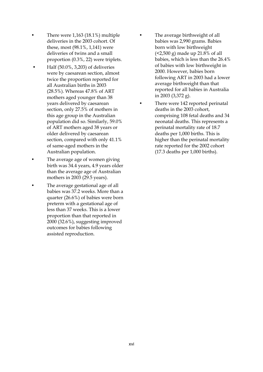- There were  $1,163$  (18.1%) multiple deliveries in the 2003 cohort. Of these, most (98.1%, 1,141) were deliveries of twins and a small proportion (0.3%, 22) were triplets.
- Half (50.0%, 3,203) of deliveries were by caesarean section, almost twice the proportion reported for all Australian births in 2003 (28.5%). Whereas 47.8% of ART mothers aged younger than 38 years delivered by caesarean section, only 27.5% of mothers in this age group in the Australian population did so. Similarly, 59.0% of ART mothers aged 38 years or older delivered by caesarean section, compared with only 41.1% of same-aged mothers in the Australian population.
- The average age of women giving birth was 34.4 years, 4.9 years older than the average age of Australian mothers in 2003 (29.5 years).
- The average gestational age of all babies was 37.2 weeks. More than a quarter (26.6%) of babies were born preterm with a gestational age of less than 37 weeks. This is a lower proportion than that reported in 2000 (32.6%), suggesting improved outcomes for babies following assisted reproduction.
- The average birthweight of all babies was 2,990 grams. Babies born with low birthweight (<2,500 g) made up 21.8% of all babies, which is less than the 26.4% of babies with low birthweight in 2000. However, babies born following ART in 2003 had a lower average birthweight than that reported for all babies in Australia in 2003 (3,372 g).
- There were 142 reported perinatal deaths in the 2003 cohort, comprising 108 fetal deaths and 34 neonatal deaths. This represents a perinatal mortality rate of 18.7 deaths per 1,000 births. This is higher than the perinatal mortality rate reported for the 2002 cohort (17.3 deaths per 1,000 births).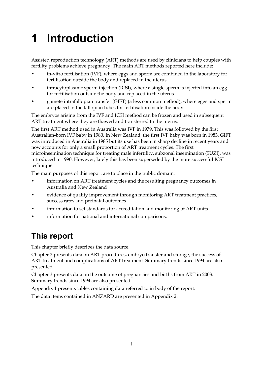# **1 Introduction**

Assisted reproduction technology (ART) methods are used by clinicians to help couples with fertility problems achieve pregnancy. The main ART methods reported here include:

- in-vitro fertilisation (IVF), where eggs and sperm are combined in the laboratory for fertilisation outside the body and replaced in the uterus
- intracytoplasmic sperm injection (ICSI), where a single sperm is injected into an egg for fertilisation outside the body and replaced in the uterus
- gamete intrafallopian transfer (GIFT) (a less common method), where eggs and sperm are placed in the fallopian tubes for fertilisation inside the body.

The embryos arising from the IVF and ICSI method can be frozen and used in subsequent ART treatment where they are thawed and transferred to the uterus.

The first ART method used in Australia was IVF in 1979. This was followed by the first Australian-born IVF baby in 1980. In New Zealand, the first IVF baby was born in 1983. GIFT was introduced in Australia in 1985 but its use has been in sharp decline in recent years and now accounts for only a small proportion of ART treatment cycles. The first microinsemination technique for treating male infertility, subzonal insemination (SUZI), was introduced in 1990. However, lately this has been superseded by the more successful ICSI technique.

The main purposes of this report are to place in the public domain:

- information on ART treatment cycles and the resulting pregnancy outcomes in Australia and New Zealand
- evidence of quality improvement through monitoring ART treatment practices, success rates and perinatal outcomes
- information to set standards for accreditation and monitoring of ART units
- information for national and international comparisons.

# **This report**

This chapter briefly describes the data source.

Chapter 2 presents data on ART procedures, embryo transfer and storage, the success of ART treatment and complications of ART treatment. Summary trends since 1994 are also presented.

Chapter 3 presents data on the outcome of pregnancies and births from ART in 2003. Summary trends since 1994 are also presented.

Appendix 1 presents tables containing data referred to in body of the report.

The data items contained in ANZARD are presented in Appendix 2.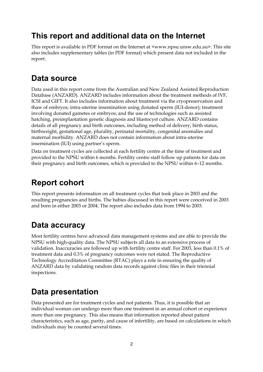# **This report and additional data on the Internet**

This report is available in PDF format on the Internet at <www.npsu.unsw.edu.au>. This site also includes supplementary tables (in PDF format) which present data not included in the report.

# **Data source**

Data used in this report come from the Australian and New Zealand Assisted Reproduction Database (ANZARD). ANZARD includes information about the treatment methods of IVF, ICSI and GIFT. It also includes information about treatment via the cryopreservation and thaw of embryos; intra-uterine insemination using donated sperm (IUI-donor); treatment involving donated gametes or embryos; and the use of technologies such as assisted hatching, preimplantation genetic diagnosis and blastocyst culture. ANZARD contains details of all pregnancy and birth outcomes, including method of delivery, birth status, birthweight, gestational age, plurality, perinatal mortality, congenital anomalies and maternal morbidity. ANZARD does not contain information about intra-uterine insemination (IUI) using partner's sperm.

Data on treatment cycles are collected at each fertility centre at the time of treatment and provided to the NPSU within 6 months. Fertility centre staff follow up patients for data on their pregnancy and birth outcomes, which is provided to the NPSU within 6–12 months.

# **Report cohort**

This report presents information on all treatment cycles that took place in 2003 and the resulting pregnancies and births. The babies discussed in this report were conceived in 2003 and born in either 2003 or 2004. The report also includes data from 1994 to 2003.

# **Data accuracy**

Most fertility centres have advanced data management systems and are able to provide the NPSU with high-quality data. The NPSU subjects all data to an extensive process of validation. Inaccuracies are followed up with fertility centre staff. For 2003, less than 0.1% of treatment data and 0.3% of pregnancy outcomes were not stated. The Reproductive Technology Accreditation Committee (RTAC) plays a role in ensuring the quality of ANZARD data by validating random data records against clinic files in their triennial inspections.

# **Data presentation**

Data presented are for treatment cycles and not patients. Thus, it is possible that an individual woman can undergo more than one treatment in an annual cohort or experience more than one pregnancy. This also means that information reported about patient characteristics, such as age, parity, and cause of infertility, are based on calculations in which individuals may be counted several times.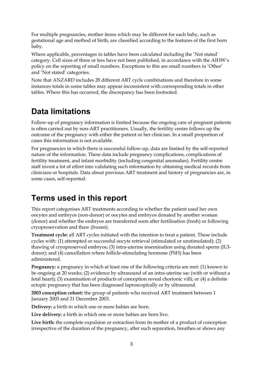For multiple pregnancies, mother items which may be different for each baby, such as gestational age and method of birth, are classified according to the features of the first born baby.

Where applicable, percentages in tables have been calculated including the 'Not stated' category. Cell sizes of three or less have not been published, in accordance with the AIHW's policy on the reporting of small numbers. Exceptions to this are small numbers in 'Other' and 'Not stated' categories.

Note that ANZARD includes 28 different ART cycle combinations and therefore in some instances totals in some tables may appear inconsistent with corresponding totals in other tables. Where this has occurred, the discrepancy has been footnoted.

# **Data limitations**

Follow-up of pregnancy information is limited because the ongoing care of pregnant patients is often carried out by non-ART practitioners. Usually, the fertility centre follows up the outcome of the pregnancy with either the patient or her clinician. In a small proportion of cases this information is not available.

For pregnancies in which there is successful follow-up, data are limited by the self-reported nature of the information. These data include pregnancy complications, complications of fertility treatment, and infant morbidity (including congenital anomalies). Fertility centre staff invest a lot of effort into validating such information by obtaining medical records from clinicians or hospitals. Data about previous ART treatment and history of pregnancies are, in some cases, self-reported.

# **Terms used in this report**

This report categorises ART treatments according to whether the patient used her own oocytes and embryos (non-donor) or oocytes and embryos donated by another woman (donor) and whether the embryos are transferred soon after fertilisation (fresh) or following cryopreservation and thaw (frozen).

**Treatment cycle:** all ART cycles initiated with the intention to treat a patient. These include cycles with: (1) attempted or successful oocyte retrieval (stimulated or unstimulated); (2) thawing of cryopreserved embryos; (3) intra-uterine insemination using donated sperm (IUIdonor); and (4) cancellation where follicle-stimulating hormone (FSH) has been administered.

**Pregnancy:** a pregnancy in which at least one of the following criteria are met: (1) known to be ongoing at 20 weeks; (2) evidence by ultrasound of an intra-uterine sac (with or without a fetal heart); (3) examination of products of conception reveal chorionic villi; or (4) a definite ectopic pregnancy that has been diagnosed laproscopically or by ultrasound.

**2003 conception cohort:** the group of patients who received ART treatment between 1 January 2003 and 31 December 2003.

**Delivery:** a birth in which one or more babies are born.

Live delivery: a birth in which one or more babies are born live.

**Live birth:** the complete expulsion or extraction from its mother of a product of conception irrespective of the duration of the pregnancy, after such separation, breathes or shows any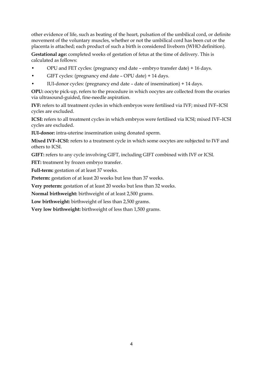other evidence of life, such as beating of the heart, pulsation of the umbilical cord, or definite movement of the voluntary muscles, whether or not the umbilical cord has been cut or the placenta is attached; each product of such a birth is considered liveborn (WHO definition).

**Gestational age:** completed weeks of gestation of fetus at the time of delivery. This is calculated as follows:

- OPU and FET cycles: (pregnancy end date embryo transfer date) + 16 days.
- GIFT cycles: (pregnancy end date OPU date) + 14 days.
- IUI-donor cycles: (pregnancy end date date of insemination) + 14 days.

**OPU:** oocyte pick-up, refers to the procedure in which oocytes are collected from the ovaries via ultrasound-guided, fine-needle aspiration.

**IVF:** refers to all treatment cycles in which embryos were fertilised via IVF; mixed IVF–ICSI cycles are excluded.

**ICSI:** refers to all treatment cycles in which embryos were fertilised via ICSI; mixed IVF–ICSI cycles are excluded.

**IUI-donor:** intra-uterine insemination using donated sperm.

**Mixed IVF–ICSI:** refers to a treatment cycle in which some oocytes are subjected to IVF and others to ICSI.

**GIFT:** refers to any cycle involving GIFT, including GIFT combined with IVF or ICSI.

FET: treatment by frozen embryo transfer.

Full-term: gestation of at least 37 weeks.

Preterm: gestation of at least 20 weeks but less than 37 weeks.

**Very preterm:** gestation of at least 20 weeks but less than 32 weeks.

**Normal birthweight:** birthweight of at least 2,500 grams.

Low birthweight: birthweight of less than 2,500 grams.

**Very low birthweight:** birthweight of less than 1,500 grams.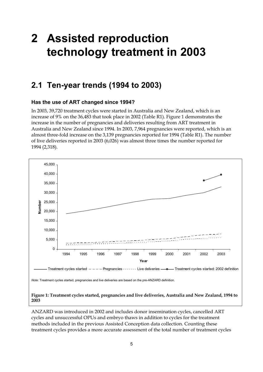# **2 Assisted reproduction technology treatment in 2003**

# **2.1 Ten-year trends (1994 to 2003)**

# **Has the use of ART changed since 1994?**

In 2003, 39,720 treatment cycles were started in Australia and New Zealand, which is an increase of 9% on the 36,483 that took place in 2002 (Table R1). Figure 1 demonstrates the increase in the number of pregnancies and deliveries resulting from ART treatment in Australia and New Zealand since 1994. In 2003, 7,964 pregnancies were reported, which is an almost three-fold increase on the 3,139 pregnancies reported for 1994 (Table R1). The number of live deliveries reported in 2003 (6,026) was almost three times the number reported for 1994 (2,318).



ANZARD was introduced in 2002 and includes donor insemination cycles, cancelled ART cycles and unsuccessful OPUs and embryo thaws in addition to cycles for the treatment methods included in the previous Assisted Conception data collection. Counting these treatment cycles provides a more accurate assessment of the total number of treatment cycles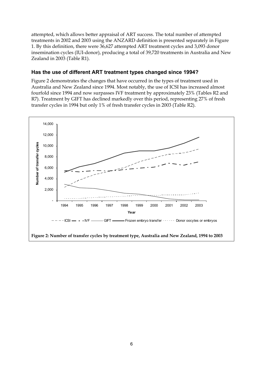attempted, which allows better appraisal of ART success. The total number of attempted treatments in 2002 and 2003 using the ANZARD definition is presented separately in Figure 1. By this definition, there were 36,627 attempted ART treatment cycles and 3,093 donor insemination cycles (IUI-donor), producing a total of 39,720 treatments in Australia and New Zealand in 2003 (Table R1).

## **Has the use of different ART treatment types changed since 1994?**

Figure 2 demonstrates the changes that have occurred in the types of treatment used in Australia and New Zealand since 1994. Most notably, the use of ICSI has increased almost fourfold since 1994 and now surpasses IVF treatment by approximately 23% (Tables R2 and R7). Treatment by GIFT has declined markedly over this period, representing 27% of fresh transfer cycles in 1994 but only 1% of fresh transfer cycles in 2003 (Table R2).

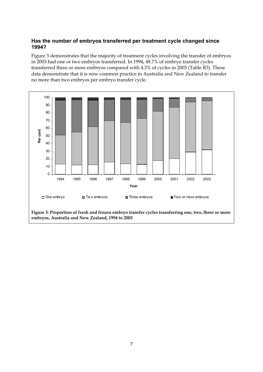# **Has the number of embryos transferred per treatment cycle changed since 1994?**

Figure 3 demonstrates that the majority of treatment cycles involving the transfer of embryos in 2003 had one or two embryos transferred. In 1994, 48.7% of embryo transfer cycles transferred three or more embryos compared with 4.3% of cycles in 2003 (Table R3). These data demonstrate that it is now common practice in Australia and New Zealand to transfer no more than two embryos per embryo transfer cycle.



**embryos, Australia and New Zealand, 1994 to 2003**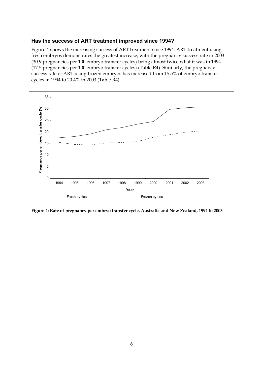## **Has the success of ART treatment improved since 1994?**

Figure 4 shows the increasing success of ART treatment since 1994. ART treatment using fresh embryos demonstrates the greatest increase, with the pregnancy success rate in 2003 (30.9 pregnancies per 100 embryo transfer cycles) being almost twice what it was in 1994 (17.5 pregnancies per 100 embryo transfer cycles) (Table R4). Similarly, the pregnancy success rate of ART using frozen embryos has increased from 15.5% of embryo transfer cycles in 1994 to 20.4% in 2003 (Table R4).

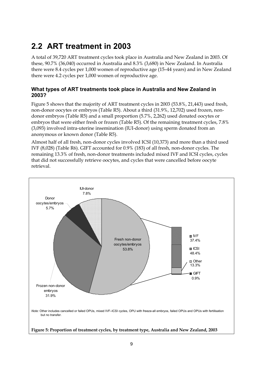# **2.2 ART treatment in 2003**

A total of 39,720 ART treatment cycles took place in Australia and New Zealand in 2003. Of these, 90.7% (36,040) occurred in Australia and 8.3% (3,680) in New Zealand. In Australia there were 8.4 cycles per 1,000 women of reproductive age (15–44 years) and in New Zealand there were 4.2 cycles per 1,000 women of reproductive age.

# **What types of ART treatments took place in Australia and New Zealand in 2003?**

Figure 5 shows that the majority of ART treatment cycles in 2003 (53.8%, 21,443) used fresh, non-donor oocytes or embryos (Table R5). About a third (31.9%, 12,702) used frozen, nondonor embryos (Table R5) and a small proportion (5.7%, 2,262) used donated oocytes or embryos that were either fresh or frozen (Table R5). Of the remaining treatment cycles, 7.8% (3,093) involved intra-uterine insemination (IUI-donor) using sperm donated from an anonymous or known donor (Table R5).

Almost half of all fresh, non-donor cycles involved ICSI (10,373) and more than a third used IVF (8,028) (Table R6). GIFT accounted for 0.9% (183) of all fresh, non-donor cycles. The remaining 13.3% of fresh, non-donor treatments included mixed IVF and ICSI cycles, cycles that did not successfully retrieve oocytes, and cycles that were cancelled before oocyte retrieval.

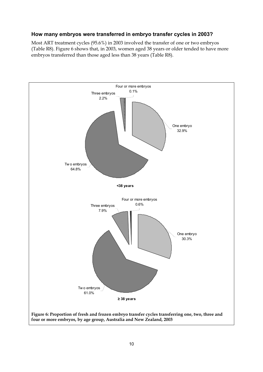# **How many embryos were transferred in embryo transfer cycles in 2003?**

Most ART treatment cycles (95.6%) in 2003 involved the transfer of one or two embryos (Table R8). Figure 6 shows that, in 2003, women aged 38 years or older tended to have more embryos transferred than those aged less than 38 years (Table R8).

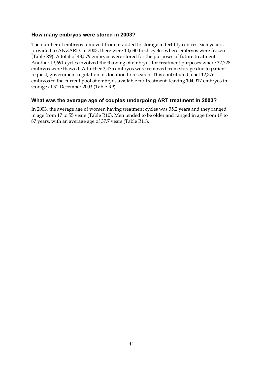# **How many embryos were stored in 2003?**

The number of embryos removed from or added to storage in fertility centres each year is provided to ANZARD. In 2003, there were 10,630 fresh cycles where embryos were frozen (Table R9). A total of 48,579 embryos were stored for the purposes of future treatment. Another 13,691 cycles involved the thawing of embryos for treatment purposes where 32,728 embryos were thawed. A further 3,475 embryos were removed from storage due to patient request, government regulation or donation to research. This contributed a net 12,376 embryos to the current pool of embryos available for treatment, leaving 104,917 embryos in storage at 31 December 2003 (Table R9).

# **What was the average age of couples undergoing ART treatment in 2003?**

In 2003, the average age of women having treatment cycles was 35.2 years and they ranged in age from 17 to 55 years (Table R10). Men tended to be older and ranged in age from 19 to 87 years, with an average age of 37.7 years (Table R11).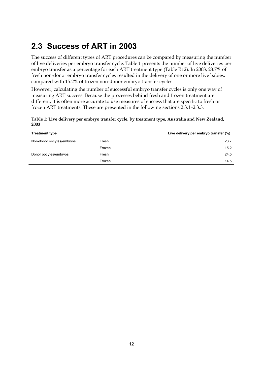# **2.3 Success of ART in 2003**

The success of different types of ART procedures can be compared by measuring the number of live deliveries per embryo transfer cycle. Table 1 presents the number of live deliveries per embryo transfer as a percentage for each ART treatment type (Table R12). In 2003, 23.7% of fresh non-donor embryo transfer cycles resulted in the delivery of one or more live babies, compared with 15.2% of frozen non-donor embryo transfer cycles.

However, calculating the number of successful embryo transfer cycles is only one way of measuring ART success. Because the processes behind fresh and frozen treatment are different, it is often more accurate to use measures of success that are specific to fresh or frozen ART treatments. These are presented in the following sections 2.3.1–2.3.3.

**Table 1: Live delivery per embryo transfer cycle, by treatment type, Australia and New Zealand, 2003** 

| <b>Treatment type</b>     |        | Live delivery per embryo transfer (%) |
|---------------------------|--------|---------------------------------------|
| Non-donor oocytes/embryos | Fresh  | 23.7                                  |
|                           | Frozen | 15.2                                  |
| Donor oocytes/embryos     | Fresh  | 24.5                                  |
|                           | Frozen | 14.5                                  |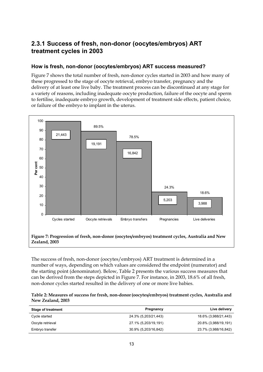# **2.3.1 Success of fresh, non-donor (oocytes/embryos) ART treatment cycles in 2003**

## **How is fresh, non-donor (oocytes/embryos) ART success measured?**

Figure 7 shows the total number of fresh, non-donor cycles started in 2003 and how many of these progressed to the stage of oocyte retrieval, embryo transfer, pregnancy and the delivery of at least one live baby. The treatment process can be discontinued at any stage for a variety of reasons, including inadequate oocyte production, failure of the oocyte and sperm to fertilise, inadequate embryo growth, development of treatment side effects, patient choice, or failure of the embryo to implant in the uterus.



The success of fresh, non-donor (oocytes/embryos) ART treatment is determined in a number of ways, depending on which values are considered the endpoint (numerator) and the starting point (denominator). Below, Table 2 presents the various success measures that can be derived from the steps depicted in Figure 7. For instance, in 2003, 18.6% of all fresh, non-donor cycles started resulted in the delivery of one or more live babies.

| Table 2: Measures of success for fresh, non-donor (oocytes/embryos) treatment cycles, Australia and |  |
|-----------------------------------------------------------------------------------------------------|--|
| New Zealand, 2003                                                                                   |  |

| <b>Stage of treatment</b> | Pregnancy            | Live delivery        |
|---------------------------|----------------------|----------------------|
| Cycle started             | 24.3% (5,203/21,443) | 18.6% (3,988/21,443) |
| Oocyte retrieval          | 27.1% (5,203/19,191) | 20.8% (3,988/19,191) |
| Embryo transfer           | 30.9% (5,203/16,842) | 23.7% (3,988/16,842) |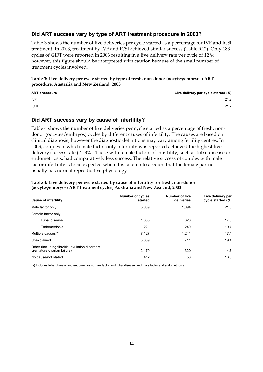# **Did ART success vary by type of ART treatment procedure in 2003?**

Table 3 shows the number of live deliveries per cycle started as a percentage for IVF and ICSI treatment. In 2003, treatment by IVF and ICSI achieved similar success (Table R12). Only 183 cycles of GIFT were reported in 2003 resulting in a live delivery rate per cycle of 12%; however, this figure should be interpreted with caution because of the small number of treatment cycles involved.

**Table 3: Live delivery per cycle started by type of fresh, non-donor (oocytes/embryos) ART procedure, Australia and New Zealand, 2003** 

| <b>ART procedure</b> | Live delivery per cycle started (%) |
|----------------------|-------------------------------------|
| <b>IVF</b>           | 21.2                                |
| <b>ICSI</b>          | 21.2                                |
|                      |                                     |

## **Did ART success vary by cause of infertility?**

Table 4 shows the number of live deliveries per cycle started as a percentage of fresh, nondonor (oocytes/embryos) cycles by different causes of infertility. The causes are based on clinical diagnosis; however the diagnostic definitions may vary among fertility centres. In 2003, couples in which male factor only infertility was reported achieved the highest live delivery success rate (21.8%). Those with female factors of infertility, such as tubal disease or endometriosis, had comparatively less success. The relative success of couples with male factor infertility is to be expected when it is taken into account that the female partner usually has normal reproductive physiology.

| <b>Cause of infertility</b>                                                   | <b>Number of cycles</b><br>started | <b>Number of live</b><br>deliveries | Live delivery per<br>cycle started (%) |
|-------------------------------------------------------------------------------|------------------------------------|-------------------------------------|----------------------------------------|
| Male factor only                                                              | 5.009                              | 1.094                               | 21.8                                   |
| Female factor only                                                            |                                    |                                     |                                        |
| Tubal disease                                                                 | 1.835                              | 326                                 | 17.8                                   |
| Endometriosis                                                                 | 1,221                              | 240                                 | 19.7                                   |
| Multiple causes <sup>(a)</sup>                                                | 7,127                              | 1,241                               | 17.4                                   |
| Unexplained                                                                   | 3,669                              | 711                                 | 19.4                                   |
| Other (including fibroids, ovulation disorders,<br>premature ovarian failure) | 2,170                              | 320                                 | 14.7                                   |
| No cause/not stated                                                           | 412                                | 56                                  | 13.6                                   |

### **Table 4: Live delivery per cycle started by cause of infertility for fresh, non-donor (oocytes/embryos) ART treatment cycles, Australia and New Zealand, 2003**

(a) Includes tubal disease and endometriosis, male factor and tubal disease, and male factor and endometriosis.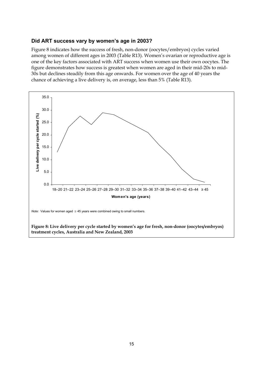## **Did ART success vary by women's age in 2003?**

Figure 8 indicates how the success of fresh, non-donor (oocytes/embryos) cycles varied among women of different ages in 2003 (Table R13). Women's ovarian or reproductive age is one of the key factors associated with ART success when women use their own oocytes. The figure demonstrates how success is greatest when women are aged in their mid-20s to mid-30s but declines steadily from this age onwards. For women over the age of 40 years the chance of achieving a live delivery is, on average, less than 5% (Table R13).

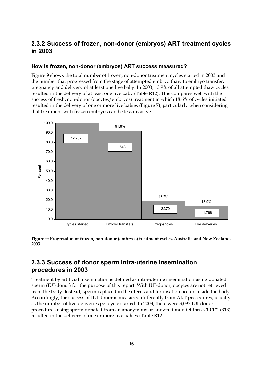# **2.3.2 Success of frozen, non-donor (embryos) ART treatment cycles in 2003**

# **How is frozen, non-donor (embryos) ART success measured?**

Figure 9 shows the total number of frozen, non-donor treatment cycles started in 2003 and the number that progressed from the stage of attempted embryo thaw to embryo transfer, pregnancy and delivery of at least one live baby. In 2003, 13.9% of all attempted thaw cycles resulted in the delivery of at least one live baby (Table R12). This compares well with the success of fresh, non-donor (oocytes/embryos) treatment in which 18.6% of cycles initiated resulted in the delivery of one or more live babies (Figure 7), particularly when considering that treatment with frozen embryos can be less invasive.



# **2.3.3 Success of donor sperm intra-uterine insemination procedures in 2003**

Treatment by artificial insemination is defined as intra-uterine insemination using donated sperm (IUI-donor) for the purpose of this report. With IUI-donor, oocytes are not retrieved from the body. Instead, sperm is placed in the uterus and fertilisation occurs inside the body. Accordingly, the success of IUI-donor is measured differently from ART procedures, usually as the number of live deliveries per cycle started. In 2003, there were 3,093 IUI-donor procedures using sperm donated from an anonymous or known donor. Of these, 10.1% (313) resulted in the delivery of one or more live babies (Table R12).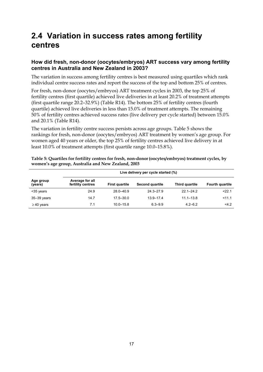# **2.4 Variation in success rates among fertility centres**

# **How did fresh, non-donor (oocytes/embryos) ART success vary among fertility centres in Australia and New Zealand in 2003?**

The variation in success among fertility centres is best measured using quartiles which rank individual centre success rates and report the success of the top and bottom 25% of centres.

For fresh, non-donor (oocytes/embryos) ART treatment cycles in 2003, the top 25% of fertility centres (first quartile) achieved live deliveries in at least 20.2% of treatment attempts (first quartile range 20.2–32.9%) (Table R14). The bottom 25% of fertility centres (fourth quartile) achieved live deliveries in less than 15.0% of treatment attempts. The remaining 50% of fertility centres achieved success rates (live delivery per cycle started) between 15.0% and 20.1% (Table R14).

The variation in fertility centre success persists across age groups. Table 5 shows the rankings for fresh, non-donor (oocytes/embryos) ART treatment by women's age group. For women aged 40 years or older, the top 25% of fertility centres achieved live delivery in at least 10.0% of treatment attempts (first quartile range 10.0–15.8%).

| Table 5: Quartiles for fertility centres for fresh, non-donor (oocytes/embryos) treatment cycles, by |
|------------------------------------------------------------------------------------------------------|
| women's age group, Australia and New Zealand, 2003                                                   |

|                      | Live delivery per cycle started (%)  |                       |                 |                |                        |  |  |  |  |  |
|----------------------|--------------------------------------|-----------------------|-----------------|----------------|------------------------|--|--|--|--|--|
| Age group<br>(years) | Average for all<br>fertility centres | <b>First quartile</b> | Second quartile | Third quartile | <b>Fourth quartile</b> |  |  |  |  |  |
| <35 years            | 24.9                                 | $28.0 - 40.9$         | $24.3 - 27.9$   | $22.1 - 24.2$  | < 22.1                 |  |  |  |  |  |
| $35-39$ years        | 14.7                                 | $17.5 - 30.0$         | $13.9 - 17.4$   | $11.1 - 13.8$  | 11.1                   |  |  |  |  |  |
| $\geq$ 40 years      | 7.1                                  | $10.0 - 15.8$         | $6.3 - 9.9$     | $4.2 - 6.2$    | 4.2                    |  |  |  |  |  |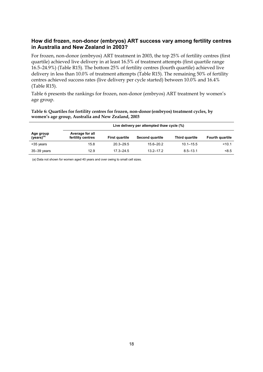# **How did frozen, non-donor (embryos) ART success vary among fertility centres in Australia and New Zealand in 2003?**

For frozen, non-donor (embryos) ART treatment in 2003, the top 25% of fertility centres (first quartile) achieved live delivery in at least 16.5% of treatment attempts (first quartile range 16.5–24.9%) (Table R15). The bottom 25% of fertility centres (fourth quartile) achieved live delivery in less than 10.0% of treatment attempts (Table R15). The remaining 50% of fertility centres achieved success rates (live delivery per cycle started) between 10.0% and 16.4% (Table R15).

Table 6 presents the rankings for frozen, non-donor (embryos) ART treatment by women's age group.

### Table 6: Quartiles for fertility centres for frozen, non-donor (embryos) treatment cycles, by **women's age group, Australia and New Zealand, 2003**

|                                     | Live delivery per attempted thaw cycle (%) |                       |                 |                |                        |
|-------------------------------------|--------------------------------------------|-----------------------|-----------------|----------------|------------------------|
| Age group<br>(years) <sup>(a)</sup> | Average for all<br>fertility centres       | <b>First quartile</b> | Second quartile | Third quartile | <b>Fourth quartile</b> |
| <35 years                           | 15.8                                       | $20.3 - 29.5$         | $15.6 - 20.2$   | $10.1 - 15.5$  | < 10.1                 |
| 35–39 vears                         | 12.9                                       | $173 - 245$           | $13.2 - 17.2$   | $8.5 - 13.1$   | < 8.5                  |

(a) Data not shown for women aged 40 years and over owing to small cell sizes.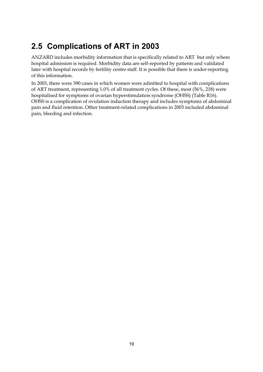# **2.5 Complications of ART in 2003**

ANZARD includes morbidity information that is specifically related to ART but only where hospital admission is required. Morbidity data are self-reported by patients and validated later with hospital records by fertility centre staff. It is possible that there is under-reporting of this information.

In 2003, there were 390 cases in which women were admitted to hospital with complications of ART treatment, representing 1.0% of all treatment cycles. Of these, most (56%, 218) were hospitalised for symptoms of ovarian hyperstimulation syndrome (OHSS) (Table R16). OHSS is a complication of ovulation induction therapy and includes symptoms of abdominal pain and fluid retention. Other treatment-related complications in 2003 included abdominal pain, bleeding and infection.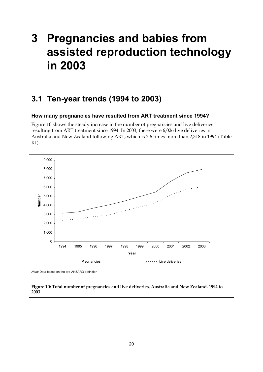# **3 Pregnancies and babies from assisted reproduction technology in 2003**

# **3.1 Ten-year trends (1994 to 2003)**

## **How many pregnancies have resulted from ART treatment since 1994?**

Figure 10 shows the steady increase in the number of pregnancies and live deliveries resulting from ART treatment since 1994. In 2003, there were 6,026 live deliveries in Australia and New Zealand following ART, which is 2.6 times more than 2,318 in 1994 (Table R1).

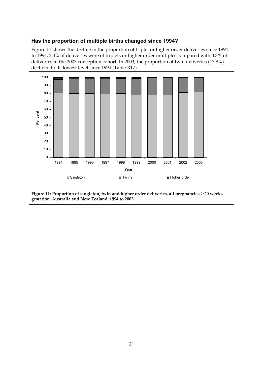# **Has the proportion of multiple births changed since 1994?**

Figure 11 shows the decline in the proportion of triplet or higher order deliveries since 1994. In 1994, 2.4% of deliveries were of triplets or higher order multiples compared with 0.3% of deliveries in the 2003 conception cohort. In 2003, the proportion of twin deliveries (17.8%) declined to its lowest level since 1994 (Table R17).



**Figure 11: Proportion of singleton, twin and higher order deliveries, all pregnancies** ≥ **20 weeks gestation, Australia and New Zealand, 1994 to 2003**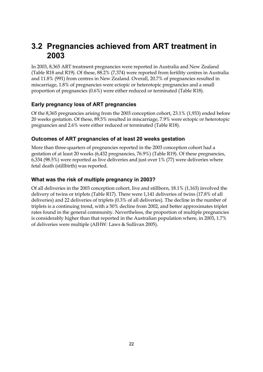# **3.2 Pregnancies achieved from ART treatment in 2003**

In 2003, 8,365 ART treatment pregnancies were reported in Australia and New Zealand (Table R18 and R19). Of these, 88.2% (7,374) were reported from fertility centres in Australia and 11.8% (991) from centres in New Zealand. Overall, 20.7% of pregnancies resulted in miscarriage, 1.8% of pregnancies were ectopic or heterotopic pregnancies and a small proportion of pregnancies (0.6%) were either reduced or terminated (Table R18).

# **Early pregnancy loss of ART pregnancies**

Of the 8,365 pregnancies arising from the 2003 conception cohort, 23.1% (1,933) ended before 20 weeks gestation. Of these, 89.5% resulted in miscarriage, 7.9% were ectopic or heterotopic pregnancies and 2.6% were either reduced or terminated (Table R18).

# **Outcomes of ART pregnancies of at least 20 weeks gestation**

More than three-quarters of pregnancies reported in the 2003 conception cohort had a gestation of at least 20 weeks (6,432 pregnancies, 76.9%) (Table R19). Of these pregnancies, 6,334 (98.5%) were reported as live deliveries and just over 1% (77) were deliveries where fetal death (stillbirth) was reported.

# **What was the risk of multiple pregnancy in 2003?**

Of all deliveries in the 2003 conception cohort, live and stillborn, 18.1% (1,163) involved the delivery of twins or triplets (Table R17). There were 1,141 deliveries of twins (17.8% of all deliveries) and 22 deliveries of triplets (0.3% of all deliveries). The decline in the number of triplets is a continuing trend, with a 50% decline from 2002, and better approximates triplet rates found in the general community. Nevertheless, the proportion of multiple pregnancies is considerably higher than that reported in the Australian population where, in 2003, 1.7% of deliveries were multiple (AIHW: Laws & Sullivan 2005).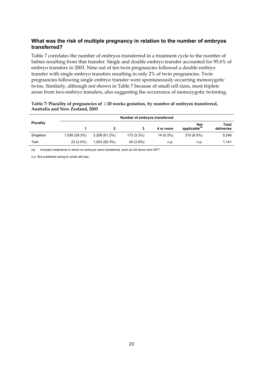# **What was the risk of multiple pregnancy in relation to the number of embryos transferred?**

Table 7 correlates the number of embryos transferred in a treatment cycle to the number of babies resulting from that transfer. Single and double embryo transfer accounted for 95.6% of embryo transfers in 2003. Nine out of ten twin pregnancies followed a double embryo transfer with single embryo transfers resulting in only 2% of twin pregnancies. Twin pregnancies following single embryo transfer were spontaneously occurring monozygotic twins. Similarly, although not shown in Table 7 because of small cell sizes, most triplets arose from two-embryo transfers, also suggesting the occurrence of monozygotic twinning.

|                                 | Table 7: Plurality of pregnancies of $\geq$ 20 weeks gestation, by number of embryos transferred, |
|---------------------------------|---------------------------------------------------------------------------------------------------|
| Australia and New Zealand, 2003 |                                                                                                   |

|                  |               | Number of embryos transferred |            |             |                                         |                            |  |  |  |  |  |  |
|------------------|---------------|-------------------------------|------------|-------------|-----------------------------------------|----------------------------|--|--|--|--|--|--|
| <b>Plurality</b> |               |                               | 3          | 4 or more   | <b>Not</b><br>applicable <sup>(a)</sup> | <b>Total</b><br>deliveries |  |  |  |  |  |  |
| Singleton        | 1,536 (29.3%) | $3,208(61.2\%)$               | 173 (3.3%) | $14(0.3\%)$ | 315 (6.0%)                              | 5,246                      |  |  |  |  |  |  |
| Twin             | $23(2.0\%)$   | 1,053 (92.3%)                 | 45 (3.9%)  | n.p.        | n.p.                                    | 1.141                      |  |  |  |  |  |  |

(a) Includes treatments in which no embryos were transferred, such as IUI-donor and GIFT.

n.p. Not published owing to small cell size.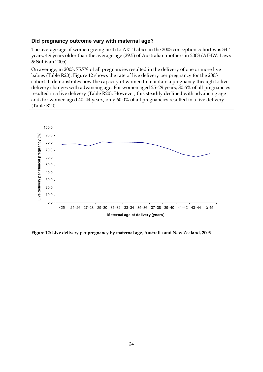## **Did pregnancy outcome vary with maternal age?**

The average age of women giving birth to ART babies in the 2003 conception cohort was 34.4 years, 4.9 years older than the average age (29.5) of Australian mothers in 2003 (AIHW: Laws & Sullivan 2005).

On average, in 2003, 75.7% of all pregnancies resulted in the delivery of one or more live babies (Table R20). Figure 12 shows the rate of live delivery per pregnancy for the 2003 cohort. It demonstrates how the capacity of women to maintain a pregnancy through to live delivery changes with advancing age. For women aged 25–29 years, 80.6% of all pregnancies resulted in a live delivery (Table R20). However, this steadily declined with advancing age and, for women aged 40–44 years, only 60.0% of all pregnancies resulted in a live delivery (Table R20).

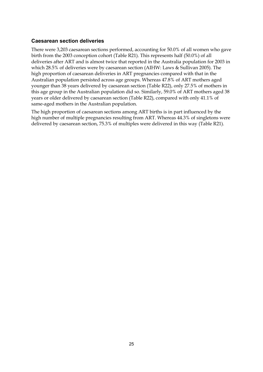## **Caesarean section deliveries**

There were 3,203 caesarean sections performed, accounting for 50.0% of all women who gave birth from the 2003 conception cohort (Table R21). This represents half (50.0%) of all deliveries after ART and is almost twice that reported in the Australia population for 2003 in which 28.5% of deliveries were by caesarean section (AIHW: Laws & Sullivan 2005). The high proportion of caesarean deliveries in ART pregnancies compared with that in the Australian population persisted across age groups. Whereas 47.8% of ART mothers aged younger than 38 years delivered by caesarean section (Table R22), only 27.5% of mothers in this age group in the Australian population did so. Similarly, 59.0% of ART mothers aged 38 years or older delivered by caesarean section (Table R22), compared with only 41.1% of same-aged mothers in the Australian population.

The high proportion of caesarean sections among ART births is in part influenced by the high number of multiple pregnancies resulting from ART. Whereas 44.3% of singletons were delivered by caesarean section, 75.3% of multiples were delivered in this way (Table R21).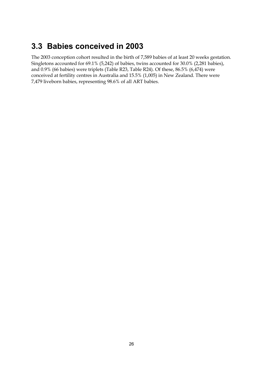# **3.3 Babies conceived in 2003**

The 2003 conception cohort resulted in the birth of 7,589 babies of at least 20 weeks gestation. Singletons accounted for 69.1% (5,242) of babies, twins accounted for 30.0% (2,281 babies), and 0.9% (66 babies) were triplets (Table R23, Table R24). Of these, 86.5% (6,474) were conceived at fertility centres in Australia and 15.5% (1,005) in New Zealand. There were 7,479 liveborn babies, representing 98.6% of all ART babies.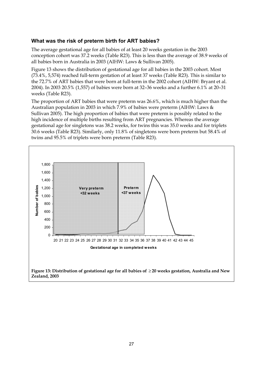## **What was the risk of preterm birth for ART babies?**

The average gestational age for all babies of at least 20 weeks gestation in the 2003 conception cohort was 37.2 weeks (Table R23). This is less than the average of 38.9 weeks of all babies born in Australia in 2003 (AIHW: Laws & Sullivan 2005).

Figure 13 shows the distribution of gestational age for all babies in the 2003 cohort. Most (73.4%, 5,574) reached full-term gestation of at least 37 weeks (Table R23). This is similar to the 72.7% of ART babies that were born at full-term in the 2002 cohort (AIHW: Bryant et al. 2004). In 2003 20.5% (1,557) of babies were born at 32–36 weeks and a further 6.1% at 20–31 weeks (Table R23).

The proportion of ART babies that were preterm was 26.6%, which is much higher than the Australian population in 2003 in which 7.9% of babies were preterm (AIHW: Laws & Sullivan 2005). The high proportion of babies that were preterm is possibly related to the high incidence of multiple births resulting from ART pregnancies. Whereas the average gestational age for singletons was 38.2 weeks, for twins this was 35.0 weeks and for triplets 30.6 weeks (Table R23). Similarly, only 11.8% of singletons were born preterm but 58.4% of twins and 95.5% of triplets were born preterm (Table R23).

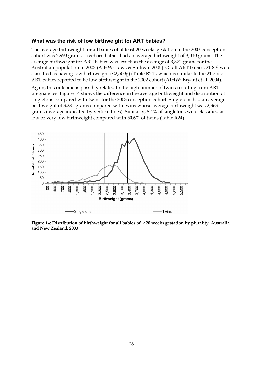### **What was the risk of low birthweight for ART babies?**

The average birthweight for all babies of at least 20 weeks gestation in the 2003 conception cohort was 2,990 grams. Liveborn babies had an average birthweight of 3,010 grams. The average birthweight for ART babies was less than the average of 3,372 grams for the Australian population in 2003 (AIHW: Laws & Sullivan 2005). Of all ART babies, 21.8% were classified as having low birthweight (<2,500g) (Table R24), which is similar to the 21.7% of ART babies reported to be low birthweight in the 2002 cohort (AIHW: Bryant et al. 2004).

Again, this outcome is possibly related to the high number of twins resulting from ART pregnancies. Figure 14 shows the difference in the average birthweight and distribution of singletons compared with twins for the 2003 conception cohort. Singletons had an average birthweight of 3,281 grams compared with twins whose average birthweight was 2,363 grams (average indicated by vertical lines). Similarly, 8.4% of singletons were classified as low or very low birthweight compared with 50.6% of twins (Table R24).



**and New Zealand, 2003**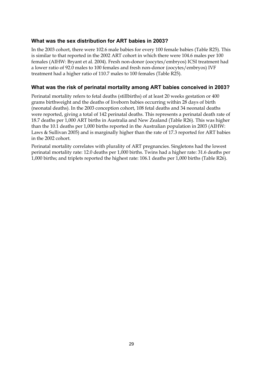## **What was the sex distribution for ART babies in 2003?**

In the 2003 cohort, there were 102.6 male babies for every 100 female babies (Table R25). This is similar to that reported in the 2002 ART cohort in which there were 104.6 males per 100 females (AIHW: Bryant et al. 2004). Fresh non-donor (oocytes/embryos) ICSI treatment had a lower ratio of 92.0 males to 100 females and fresh non-donor (oocytes/embryos) IVF treatment had a higher ratio of 110.7 males to 100 females (Table R25).

## **What was the risk of perinatal mortality among ART babies conceived in 2003?**

Perinatal mortality refers to fetal deaths (stillbirths) of at least 20 weeks gestation or 400 grams birthweight and the deaths of liveborn babies occurring within 28 days of birth (neonatal deaths). In the 2003 conception cohort, 108 fetal deaths and 34 neonatal deaths were reported, giving a total of 142 perinatal deaths. This represents a perinatal death rate of 18.7 deaths per 1,000 ART births in Australia and New Zealand (Table R26). This was higher than the 10.1 deaths per 1,000 births reported in the Australian population in 2003 (AIHW: Laws & Sullivan 2005) and is marginally higher than the rate of 17.3 reported for ART babies in the 2002 cohort.

Perinatal mortality correlates with plurality of ART pregnancies. Singletons had the lowest perinatal mortality rate: 12.0 deaths per 1,000 births. Twins had a higher rate: 31.6 deaths per 1,000 births; and triplets reported the highest rate: 106.1 deaths per 1,000 births (Table R26).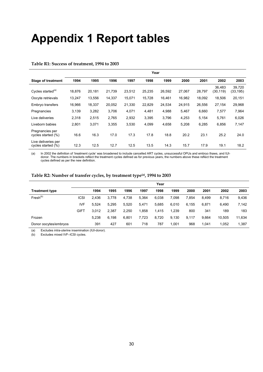# **Appendix 1 Report tables**

|                                           | Year   |        |        |        |        |        |        |        |                     |                    |
|-------------------------------------------|--------|--------|--------|--------|--------|--------|--------|--------|---------------------|--------------------|
| <b>Stage of treatment</b>                 | 1994   | 1995   | 1996   | 1997   | 1998   | 1999   | 2000   | 2001   | 2002                | 2003               |
| Cycles started <sup>(a)</sup>             | 18,876 | 20.181 | 21,739 | 23,512 | 25,235 | 26,592 | 27,067 | 28,797 | 36.483<br>(30, 119) | 39.720<br>(33,195) |
| Oocyte retrievals                         | 13,247 | 13,556 | 14,337 | 15,071 | 15,728 | 16,461 | 16,982 | 18,092 | 18,506              | 20,151             |
| Embryo transfers                          | 16,966 | 18,337 | 20,052 | 21,330 | 22,829 | 24,534 | 24,915 | 26,556 | 27,154              | 29,968             |
| Pregnancies                               | 3,139  | 3,282  | 3,706  | 4,071  | 4,481  | 4,988  | 5,467  | 6,660  | 7,577               | 7,964              |
| Live deliveries                           | 2,318  | 2,515  | 2,765  | 2,932  | 3,395  | 3,796  | 4,253  | 5,154  | 5,761               | 6,026              |
| Liveborn babies                           | 2,801  | 3,071  | 3,355  | 3,530  | 4,099  | 4,658  | 5,208  | 6,285  | 6,856               | 7,147              |
| Pregnancies per<br>cycles started (%)     | 16.6   | 16.3   | 17.0   | 17.3   | 17.8   | 18.8   | 20.2   | 23.1   | 25.2                | 24.0               |
| Live deliveries per<br>cycles started (%) | 12.3   | 12.5   | 12.7   | 12.5   | 13.5   | 14.3   | 15.7   | 17.9   | 19.1                | 18.2               |

#### **Table R1: Success of treatment, 1994 to 2003**

-a) In 2002 the definition of 'treatment cycle' was broadened to include cancelled ART cycles, unsuccessful OPUs and embryo thaws, and IUI<br>donor. The numbers in brackets reflect the treatment cycles defined as for previous cycles defined as per the new definition.

### **Table R2: Number of transfer cycles, by treatment type(a), 1994 to 2003**

|                       |             |       |       |       |       | Year  |       |       |       |        |        |
|-----------------------|-------------|-------|-------|-------|-------|-------|-------|-------|-------|--------|--------|
| <b>Treatment type</b> |             | 1994  | 1995  | 1996  | 1997  | 1998  | 1999  | 2000  | 2001  | 2002   | 2003   |
| $Fresh^{(b)}$         | ICSI        | 2.436 | 3.778 | 4,738 | 5.364 | 6.038 | 7.098 | 7.854 | 8.499 | 8.716  | 9,436  |
|                       | IVF         | 5.524 | 5.295 | 5,520 | 5.471 | 5,685 | 6,010 | 6,155 | 6.871 | 6.490  | 7,142  |
|                       | <b>GIFT</b> | 3.012 | 2.387 | 2.250 | 1,858 | 1,415 | 1,239 | 800   | 341   | 189    | 183    |
| Frozen                |             | 5.238 | 6,198 | 6.801 | 7.723 | 8,720 | 9,130 | 9.117 | 9.664 | 10.505 | 11,634 |
| Donor oocytes/embryos |             | 391   | 427   | 601   | 718   | 787   | 1.001 | 968   | 1.041 | 1.052  | 1,387  |

(a) Excludes intra-uterine insemination (IUI-donor).

(b) Excludes mixed IVF–ICSI cycles.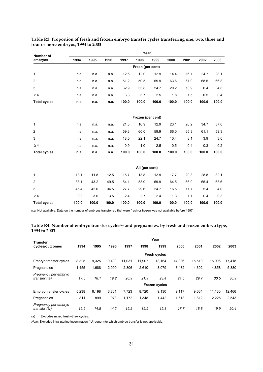| Number of           |       |       |       |       | Year              |       |       |       |       |       |
|---------------------|-------|-------|-------|-------|-------------------|-------|-------|-------|-------|-------|
| embryos             | 1994  | 1995  | 1996  | 1997  | 1998              | 1999  | 2000  | 2001  | 2002  | 2003  |
|                     |       |       |       |       | Fresh (per cent)  |       |       |       |       |       |
| $\mathbf{1}$        | n.a.  | n.a.  | n.a.  | 12.6  | 12.0              | 12.9  | 14.4  | 16.7  | 24.7  | 28.1  |
| 2                   | n.a.  | n.a.  | n.a.  | 51.2  | 50.5              | 59.9  | 63.6  | 67.9  | 68.5  | 66.8  |
| 3                   | n.a.  | n.a.  | n.a.  | 32.9  | 33.8              | 24.7  | 20.2  | 13.9  | 6.4   | 4.8   |
| $\geq 4$            | n.a.  | n.a.  | n.a.  | 3.3   | 3.7               | 2.5   | 1.8   | 1.5   | 0.5   | 0.4   |
| <b>Total cycles</b> | n.a.  | n.a.  | n.a.  | 100.0 | 100.0             | 100.0 | 100.0 | 100.0 | 100.0 | 100.0 |
|                     |       |       |       |       |                   |       |       |       |       |       |
|                     |       |       |       |       | Frozen (per cent) |       |       |       |       |       |
| 1                   | n.a.  | n.a.  | n.a.  | 21.3  | 16.9              | 12.9  | 23.1  | 26.2  | 34.7  | 37.6  |
| 2                   | n.a.  | n.a.  | n.a.  | 59.3  | 60.0              | 59.9  | 66.0  | 65.3  | 61.1  | 59.3  |
| 3                   | n.a.  | n.a.  | n.a.  | 18.5  | 22.1              | 24.7  | 10.4  | 8.1   | 3.9   | 3.0   |
| $\geq 4$            | n.a.  | n.a.  | n.a.  | 0.9   | 1.0               | 2.5   | 0.5   | 0.4   | 0.3   | 0.2   |
| <b>Total cycles</b> | n.a.  | n.a.  | n.a.  | 100.0 | 100.0             | 100.0 | 100.0 | 100.0 | 100.0 | 100.0 |
|                     |       |       |       |       |                   |       |       |       |       |       |
|                     |       |       |       |       | All (per cent)    |       |       |       |       |       |
| 1                   | 13.1  | 11.8  | 12.5  | 15.7  | 13.8              | 12.9  | 17.7  | 20.3  | 28.8  | 32.1  |
| 2                   | 38.1  | 43.2  | 49.5  | 54.1  | 53.9              | 59.9  | 64.5  | 66.9  | 65.4  | 63.6  |
| 3                   | 45.4  | 42.0  | 34.5  | 27.7  | 29.6              | 24.7  | 16.5  | 11.7  | 5.4   | 4.0   |
| $\geq 4$            | 3.3   | 3.0   | 3.5   | 2.4   | 2.7               | 2.4   | 1.3   | 1.1   | 0.4   | 0.3   |
| <b>Total cycles</b> | 100.0 | 100.0 | 100.0 | 100.0 | 100.0             | 100.0 | 100.0 | 100.0 | 100.0 | 100.0 |

| Table R3: Proportion of fresh and frozen embryo transfer cycles transferring one, two, three and |  |
|--------------------------------------------------------------------------------------------------|--|
| four or more embryos, 1994 to 2003                                                               |  |

n.a. Not available. Data on the number of embryos transferred that were fresh or frozen was not available before 1997.

#### **Table R4: Number of embryo transfer cycles(a) and pregnancies, by fresh and frozen embryo type, 1994 to 2003**

| Transfer                             |       |       |        |        |        | Year                |        |        |        |        |
|--------------------------------------|-------|-------|--------|--------|--------|---------------------|--------|--------|--------|--------|
| cycles/outcomes                      | 1994  | 1995  | 1996   | 1997   | 1998   | 1999                | 2000   | 2001   | 2002   | 2003   |
|                                      |       |       |        |        |        | <b>Fresh cycles</b> |        |        |        |        |
| Embryo transfer cycles               | 8,325 | 9,325 | 10.400 | 11,031 | 11.907 | 13.164              | 14,036 | 15,510 | 15.906 | 17,418 |
| Pregnancies                          | 1,455 | 1,688 | 2,000  | 2,306  | 2,610  | 3,079               | 3,432  | 4,602  | 4,858  | 5,380  |
| Pregnancy per embryo<br>transfer (%) | 17.5  | 18.1  | 19.2   | 20.9   | 21.9   | 23.4                | 24.5   | 29.7   | 30.5   | 30.9   |
|                                      |       |       |        |        |        | Frozen cycles       |        |        |        |        |
| Embryo transfer cycles               | 5,238 | 6,198 | 6,801  | 7.723  | 8,720  | 9,130               | 9,117  | 9,664  | 11.160 | 12,466 |
| Pregnancies                          | 811   | 899   | 973    | 1,172  | 1,348  | 1,442               | 1,618  | 1,812  | 2,225  | 2,543  |
| Pregnancy per embryo<br>transfer (%) | 15.5  | 14.5  | 14.3   | 15.2   | 15.5   | 15.8                | 17.7   | 18.8   | 19.9   | 20.4   |

(a) Excludes mixed fresh–thaw cycles.

*Note:* Excludes intra-uterine insemination (IUI-donor) for which embryo transfer is not applicable.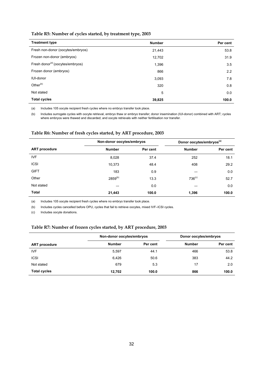### **Table R5: Number of cycles started, by treatment type, 2003**

| <b>Treatment type</b>                        | <b>Number</b> | Per cent |
|----------------------------------------------|---------------|----------|
| Fresh non-donor (oocytes/embryos)            | 21,443        | 53.8     |
| Frozen non-donor (embryos)                   | 12,702        | 31.9     |
| Fresh donor <sup>(a)</sup> (oocytes/embryos) | 1,396         | 3.5      |
| Frozen donor (embryos)                       | 866           | 2.2      |
| <b>IUI-donor</b>                             | 3,093         | 7.8      |
| Other <sup>(b)</sup>                         | 320           | 0.8      |
| Not stated                                   | 5             | 0.0      |
| <b>Total cycles</b>                          | 39,825        | 100.0    |

(a) Includes 105 oocyte recipient fresh cycles where no embryo transfer took place.

(b) Includes surrogate cycles with oocyte retrieval, embryo thaw or embryo transfer; donor insemination (IUI-donor) combined with ART; cycles where embryos were thawed and discarded; and oocyte retrievals with neither fertilisation nor transfer.

### **Table R6: Number of fresh cycles started, by ART procedure, 2003**

|                      | Non-donor oocytes/embryos |          | Donor oocytes/embryos <sup>(a)</sup> |          |
|----------------------|---------------------------|----------|--------------------------------------|----------|
| <b>ART</b> procedure | <b>Number</b>             | Per cent | <b>Number</b>                        | Per cent |
| <b>IVF</b>           | 8,028                     | 37.4     | 252                                  | 18.1     |
| <b>ICSI</b>          | 10,373                    | 48.4     | 408                                  | 29.2     |
| <b>GIFT</b>          | 183                       | 0.9      |                                      | 0.0      |
| Other                | $2859^{(b)}$              | 13.3     | 736 <sup>(c)</sup>                   | 52.7     |
| Not stated           |                           | 0.0      |                                      | 0.0      |
| <b>Total</b>         | 21,443                    | 100.0    | 1,396                                | 100.0    |

(a) Includes 105 oocyte recipient fresh cycles where no embryo transfer took place.

(b) Includes cycles cancelled before OPU, cycles that fail to retrieve oocytes, mixed IVF–ICSI cycles.

(c) Includes oocyte donations.

### **Table R7: Number of frozen cycles started, by ART procedure, 2003**

|                      | Non-donor oocytes/embryos |          | Donor oocytes/embryos |          |  |
|----------------------|---------------------------|----------|-----------------------|----------|--|
| <b>ART</b> procedure | <b>Number</b>             | Per cent | <b>Number</b>         | Per cent |  |
| <b>IVF</b>           | 5,597                     | 44.1     | 466                   | 53.8     |  |
| <b>ICSI</b>          | 6,426                     | 50.6     | 383                   | 44.2     |  |
| Not stated           | 679                       | 5.3      | 17                    | 2.0      |  |
| <b>Total cycles</b>  | 12,702                    | 100.0    | 866                   | 100.0    |  |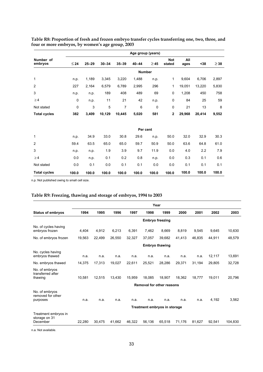|                      |               |           |           |           | Age group (years) |           |                      |             |        |           |
|----------------------|---------------|-----------|-----------|-----------|-------------------|-----------|----------------------|-------------|--------|-----------|
| Number of<br>embryos | $\leq$ 24     | $25 - 29$ | $30 - 34$ | $35 - 39$ | $40 - 44$         | $\geq$ 45 | <b>Not</b><br>stated | All<br>ages | $38$   | $\geq$ 38 |
|                      | <b>Number</b> |           |           |           |                   |           |                      |             |        |           |
| 1                    | n.p.          | 1,189     | 3,345     | 3,220     | 1,488             | n.p.      | 1                    | 9,604       | 6,706  | 2,897     |
| $\overline{2}$       | 227           | 2,164     | 6,579     | 6,789     | 2,995             | 296       | 1                    | 19,051      | 13,220 | 5,830     |
| 3                    | n.p.          | n.p.      | 189       | 408       | 489               | 69        | 0                    | 1,208       | 450    | 758       |
| $\geq 4$             | 0             | n.p.      | 11        | 21        | 42                | n.p.      | 0                    | 84          | 25     | 59        |
| Not stated           | 0             | 3         | 5         | 7         | 6                 | 0         | 0                    | 21          | 13     | 8         |
| <b>Total cycles</b>  | 382           | 3,409     | 10,129    | 10,445    | 5,020             | 581       | $\overline{2}$       | 29,968      | 20,414 | 9,552     |
|                      |               |           |           |           |                   |           |                      |             |        |           |
|                      |               |           |           |           | Per cent          |           |                      |             |        |           |
| 1                    | n.p.          | 34.9      | 33.0      | 30.8      | 29.6              | n.p.      | 50.0                 | 32.0        | 32.9   | 30.3      |
| $\overline{c}$       | 59.4          | 63.5      | 65.0      | 65.0      | 59.7              | 50.9      | 50.0                 | 63.6        | 64.8   | 61.0      |
| 3                    | n.p.          | n.p.      | 1.9       | 3.9       | 9.7               | 11.9      | 0.0                  | 4.0         | 2.2    | 7.9       |
| $\geq 4$             | 0.0           | n.p.      | 0.1       | 0.2       | 0.8               | n.p.      | 0.0                  | 0.3         | 0.1    | 0.6       |
| Not stated           | 0.0           | 0.1       | 0.0       | 0.1       | 0.1               | 0.0       | 0.0                  | 0.1         | 0.1    | 0.1       |
| <b>Total cycles</b>  | 100.0         | 100.0     | 100.0     | 100.0     | 100.0             | 100.0     | 100.0                | 100.0       | 100.0  | 100.0     |

## **Table R8: Proportion of fresh and frozen embryo transfer cycles transferring one, two, three, and four or more embryos, by women's age group, 2003**

n.p. Not published owing to small cell size.

### **Table R9: Freezing, thawing and storage of embryos, 1994 to 2003**

|                                                 |                                  |        |        |        |                              | Year                   |        |        |        |         |
|-------------------------------------------------|----------------------------------|--------|--------|--------|------------------------------|------------------------|--------|--------|--------|---------|
| <b>Status of embryos</b>                        | 1994                             | 1995   | 1996   | 1997   | 1998                         | 1999                   | 2000   | 2001   | 2002   | 2003    |
|                                                 |                                  |        |        |        |                              | <b>Embryo freezing</b> |        |        |        |         |
| No. of cycles having<br>embryos frozen          | 4,404                            | 4,912  | 6,213  | 6,391  | 7,462                        | 8,669                  | 8,819  | 9,545  | 9,645  | 10,630  |
| No. of embryos frozen                           | 19,563                           | 22,499 | 26,550 | 32.327 | 37,057                       | 39,682                 | 41,413 | 46,835 | 44,911 | 48,579  |
|                                                 | <b>Embryo thawing</b>            |        |        |        |                              |                        |        |        |        |         |
| No. cycles having<br>embryos thawed             | n.a.                             | n.a.   | n.a.   | n.a.   | n.a.                         | n.a.                   | n.a.   | n.a.   | 12,117 | 13,691  |
| No. embryos thawed                              | 14,375                           | 17,313 | 19,027 | 22,611 | 25,521                       | 28,286                 | 29,371 | 31,194 | 29,805 | 32,728  |
| No. of embryos<br>transferred after<br>thawing  | 10,581                           | 12.515 | 13.430 | 15,959 | 18.085                       | 18.907                 | 18.362 | 18.777 | 19,011 | 20,796  |
|                                                 | <b>Removal for other reasons</b> |        |        |        |                              |                        |        |        |        |         |
| No. of embryos<br>removed for other<br>purposes | n.a.                             | n.a.   | n.a.   | n.a.   | n.a.                         | n.a.                   | n.a.   | n.a.   | 4,192  | 3.562   |
|                                                 |                                  |        |        |        | Treatment embryos in storage |                        |        |        |        |         |
| Treatment embryos in<br>storage on 31           |                                  |        |        |        |                              |                        |        |        |        |         |
| December                                        | 22.280                           | 30.475 | 41.662 | 46.322 | 56,136                       | 65,518                 | 71,176 | 81.627 | 92.541 | 104,830 |

n.a. Not available.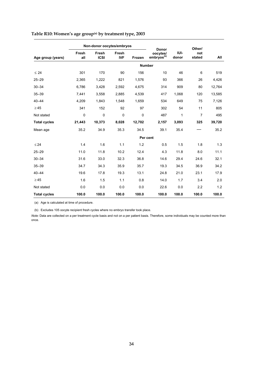|                     |              | Non-donor oocytes/embryos |                     |        |                                                             |               | Other/         |        |
|---------------------|--------------|---------------------------|---------------------|--------|-------------------------------------------------------------|---------------|----------------|--------|
| Age group (years)   | Fresh<br>all | Fresh<br><b>ICSI</b>      | Fresh<br><b>IVF</b> | Frozen | <b>Donor</b><br>oocytes/<br>$\mathsf{embryos}^\mathsf{(b)}$ | IUI-<br>donor | not<br>stated  | All    |
|                     |              |                           |                     |        | <b>Number</b>                                               |               |                |        |
| $\leq 24$           | 301          | 170                       | 90                  | 156    | 10                                                          | 46            | 6              | 519    |
| $25 - 29$           | 2,365        | 1,222                     | 821                 | 1,576  | 93                                                          | 366           | 26             | 4,426  |
| $30 - 34$           | 6,786        | 3,428                     | 2,592               | 4,675  | 314                                                         | 909           | 80             | 12,764 |
| $35 - 39$           | 7,441        | 3,558                     | 2,885               | 4,539  | 417                                                         | 1,068         | 120            | 13,585 |
| $40 - 44$           | 4,209        | 1,843                     | 1,548               | 1,659  | 534                                                         | 649           | 75             | 7,126  |
| $\geq 45$           | 341          | 152                       | 92                  | 97     | 302                                                         | 54            | 11             | 805    |
| Not stated          | $\mathbf 0$  | $\mathbf 0$               | $\mathbf 0$         | 0      | 487                                                         | 1             | $\overline{7}$ | 495    |
| <b>Total cycles</b> | 21,443       | 10,373                    | 8,028               | 12,702 | 2,157                                                       | 3,093         | 325            | 39,720 |
| Mean age            | 35.2         | 34.9                      | 35.3                | 34.5   | 39.1                                                        | 35.4          |                | 35.2   |
|                     |              |                           |                     |        | Per cent                                                    |               |                |        |
| $\leq 24$           | 1.4          | 1.6                       | 1.1                 | 1.2    | 0.5                                                         | 1.5           | 1.8            | 1.3    |
| $25 - 29$           | 11.0         | 11.8                      | 10.2                | 12.4   | 4.3                                                         | 11.8          | 8.0            | 11.1   |
| $30 - 34$           | 31.6         | 33.0                      | 32.3                | 36.8   | 14.6                                                        | 29.4          | 24.6           | 32.1   |
| $35 - 39$           | 34.7         | 34.3                      | 35.9                | 35.7   | 19.3                                                        | 34.5          | 36.9           | 34.2   |
| $40 - 44$           | 19.6         | 17.8                      | 19.3                | 13.1   | 24.8                                                        | 21.0          | 23.1           | 17.9   |
| $\geq 45$           | 1.6          | 1.5                       | 1.1                 | 0.8    | 14.0                                                        | 1.7           | 3.4            | 2.0    |
| Not stated          | 0.0          | 0.0                       | 0.0                 | 0.0    | 22.6                                                        | 0.0           | 2.2            | 1.2    |
| <b>Total cycles</b> | 100.0        | 100.0                     | 100.0               | 100.0  | 100.0                                                       | 100.0         | 100.0          | 100.0  |

# **Table R10: Women's age group(a) by treatment type, 2003**

(a) Age is calculated at time of procedure.

(b) Excludes 105 oocyte recipient fresh cycles where no embryo transfer took place.

*Note:* Data are collected on a per treatment cycle basis and not on a per patient basis. Therefore, some individuals may be counted more than once.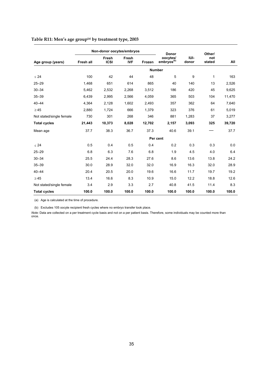|                          |           | Non-donor oocytes/embryos |                     |        | <b>Donor</b>                       |               | Other/        |        |
|--------------------------|-----------|---------------------------|---------------------|--------|------------------------------------|---------------|---------------|--------|
| Age group (years)        | Fresh all | Fresh<br><b>ICSI</b>      | Fresh<br><b>IVF</b> | Frozen | oocytes/<br>embryos <sup>(b)</sup> | IUI-<br>donor | not<br>stated | All    |
|                          |           |                           |                     |        | <b>Number</b>                      |               |               |        |
| $\leq 24$                | 100       | 42                        | 44                  | 48     | 5                                  | 9             | $\mathbf{1}$  | 163    |
| $25 - 29$                | 1,468     | 651                       | 614                 | 865    | 40                                 | 140           | 13            | 2,526  |
| $30 - 34$                | 5,462     | 2,532                     | 2,268               | 3,512  | 186                                | 420           | 45            | 9,625  |
| $35 - 39$                | 6,439     | 2,995                     | 2,566               | 4,059  | 365                                | 503           | 104           | 11,470 |
| $40 - 44$                | 4,364     | 2,128                     | 1,602               | 2,493  | 357                                | 362           | 64            | 7,640  |
| $\geq 45$                | 2,880     | 1,724                     | 666                 | 1,379  | 323                                | 376           | 61            | 5,019  |
| Not stated/single female | 730       | 301                       | 268                 | 346    | 881                                | 1,283         | 37            | 3,277  |
| <b>Total cycles</b>      | 21,443    | 10,373                    | 8,028               | 12,702 | 2,157                              | 3,093         | 325           | 39,720 |
| Mean age                 | 37.7      | 38.3                      | 36.7                | 37.3   | 40.6                               | 39.1          |               | 37.7   |
|                          |           |                           |                     |        | Per cent                           |               |               |        |
| < 24                     | 0.5       | 0.4                       | 0.5                 | 0.4    | 0.2                                | 0.3           | 0.3           | 0.0    |
| $25 - 29$                | 6.8       | 6.3                       | 7.6                 | 6.8    | 1.9                                | 4.5           | 4.0           | 6.4    |
| $30 - 34$                | 25.5      | 24.4                      | 28.3                | 27.6   | 8.6                                | 13.6          | 13.8          | 24.2   |
| $35 - 39$                | 30.0      | 28.9                      | 32.0                | 32.0   | 16.9                               | 16.3          | 32.0          | 28.9   |
| $40 - 44$                | 20.4      | 20.5                      | 20.0                | 19.6   | 16.6                               | 11.7          | 19.7          | 19.2   |
| $\geq 45$                | 13.4      | 16.6                      | 8.3                 | 10.9   | 15.0                               | 12.2          | 18.8          | 12.6   |
| Not stated/single female | 3.4       | 2.9                       | 3.3                 | 2.7    | 40.8                               | 41.5          | 11.4          | 8.3    |
| <b>Total cycles</b>      | 100.0     | 100.0                     | 100.0               | 100.0  | 100.0                              | 100.0         | 100.0         | 100.0  |

# Table R11: Men's age group<sup>(a)</sup> by treatment type, 2003

(a) Age is calculated at the time of procedure.

(b) Excludes 105 oocyte recipient fresh cycles where no embryo transfer took place.

*Note:* Data are collected on a per treatment cycle basis and not on a per patient basis. Therefore, some individuals may be counted more than once.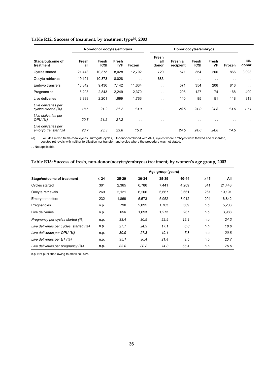|                                            |              | Non-donor oocytes/embryos |                     |                      | Donor oocytes/embryos |                        |                      |                     |                      |               |
|--------------------------------------------|--------------|---------------------------|---------------------|----------------------|-----------------------|------------------------|----------------------|---------------------|----------------------|---------------|
| Stage/outcome of<br>treatment              | Fresh<br>all | Fresh<br><b>ICSI</b>      | Fresh<br><b>IVF</b> | Frozen               | Fresh<br>all<br>donor | Fresh all<br>recipient | Fresh<br><b>ICSI</b> | Fresh<br><b>IVF</b> | Frozen               | IUI-<br>donor |
| Cycles started                             | 21,443       | 10,373                    | 8,028               | 12,702               | 720                   | 571                    | 354                  | 206                 | 866                  | 3,093         |
| Oocyte retrievals                          | 19,191       | 10,373                    | 8,028               | $\ddot{\phantom{0}}$ | 683                   | $\sim$ $\sim$          | $\sim$ $\sim$        | $\cdot$ .           | $\sim$ $\sim$        | $\cdot$ .     |
| Embryo transfers                           | 16,842       | 9,436                     | 7,142               | 11,634               | $\sim$ $\sim$         | 571                    | 354                  | 206                 | 816                  | $\sim$ $\sim$ |
| Pregnancies                                | 5,203        | 2,843                     | 2,249               | 2,370                | $\sim$ $\sim$         | 205                    | 127                  | 74                  | 168                  | 400           |
| Live deliveries                            | 3,988        | 2,201                     | 1,699               | 1,766                | $\ddot{\phantom{0}}$  | 140                    | 85                   | 51                  | 118                  | 313           |
| Live deliveries per<br>cycles started (%)  | 18.6         | 21.2                      | 21.2                | 13.9                 | $\ddot{\phantom{0}}$  | 24.5                   | 24.0                 | 24.8                | 13.6                 | 10.1          |
| Live deliveries per<br>OPU (%)             | 20.8         | 21.2                      | 21.2                | $\cdot$ .            | $\sim$ $\sim$         | $\cdot$ .              | $\cdot$ .            | $\cdot$ .           | $\ddot{\phantom{1}}$ | $\sim$        |
| Live deliveries per<br>embryo transfer (%) | 23.7         | 23.3                      | 23.8                | 15.2                 | $\sim$ $\sim$         | 24.5                   | 24.0                 | 24.8                | 14.5                 | $\sim$ $\sim$ |

### **Table R12: Success of treatment, by treatment type(a), 2003**

(a) Excludes mixed fresh–thaw cycles, surrogate cycles, IUI-donor combined with ART, cycles where embryos were thawed and discarded,<br>oocytes retrievals with neither fertilisation nor transfer, and cycles where the procedur

. . Not applicable.

### **Table R13: Success of fresh, non-donor(oocytes/embryos) treatment, by women's age group, 2003**

|                                        | Age group (years) |       |       |       |       |           |        |  |  |
|----------------------------------------|-------------------|-------|-------|-------|-------|-----------|--------|--|--|
| Stage/outcome of treatment             | $\leq 24$         | 25-29 | 30-34 | 35-39 | 40-44 | $\geq 45$ | All    |  |  |
| Cycles started                         | 301               | 2,365 | 6,786 | 7,441 | 4,209 | 341       | 21,443 |  |  |
| Oocyte retrievals                      | 269               | 2,121 | 6,206 | 6,667 | 3,661 | 267       | 19,191 |  |  |
| Embryo transfers                       | 232               | 1,869 | 5,573 | 5,952 | 3,012 | 204       | 16,842 |  |  |
| Pregnancies                            | n.p.              | 790   | 2,095 | 1,703 | 509   | n.p.      | 5,203  |  |  |
| Live deliveries                        | n.p.              | 656   | 1,693 | 1,273 | 287   | n.p.      | 3,988  |  |  |
| Pregnancy per cycles started (%)       | n.p.              | 33.4  | 30.9  | 22.9  | 12.1  | n.p.      | 24.3   |  |  |
| Live deliveries per cycles started (%) | n.p.              | 27.7  | 24.9  | 17.1  | 6.8   | n.p.      | 18.6   |  |  |
| Live deliveries per OPU (%)            | n.p.              | 30.9  | 27.3  | 19.1  | 7.8   | n.p.      | 20.8   |  |  |
| Live deliveries per ET (%)             | n.p.              | 35.1  | 30.4  | 21.4  | 9.5   | n.p.      | 23.7   |  |  |
| Live deliveries per pregnancy (%)      | n.p.              | 83.0  | 80.8  | 74.8  | 56.4  | n.p.      | 76.6   |  |  |

n.p. Not published owing to small cell size.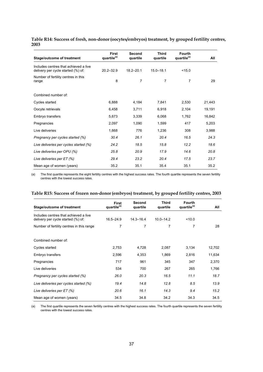| Table R14: Success of fresh, non-donor (oocytes/embryos) treatment, by grouped fertility centres, |  |
|---------------------------------------------------------------------------------------------------|--|
| 2003                                                                                              |  |

| <b>Stage/outcome of treatment</b>                                           | <b>First</b><br>quartile <sup>(a)</sup> | Second<br>quartile | <b>Third</b><br>quartile | <b>Fourth</b><br>quartile <sup>(a)</sup> | All    |
|-----------------------------------------------------------------------------|-----------------------------------------|--------------------|--------------------------|------------------------------------------|--------|
| Includes centres that achieved a live<br>delivery per cycle started (%) of: | $20.2 - 32.9$                           | $18.2 - 20.1$      | $15.0 - 18.1$            | < 15.0                                   |        |
| Number of fertility centres in this<br>range                                | 8                                       | $\overline{7}$     | 7                        | 7                                        | 29     |
| Combined number of:                                                         |                                         |                    |                          |                                          |        |
| Cycles started                                                              | 6.888                                   | 4,184              | 7.841                    | 2,530                                    | 21,443 |
| Oocyte retrievals                                                           | 6,458                                   | 3,711              | 6,918                    | 2,104                                    | 19,191 |
| Embryo transfers                                                            | 5,673                                   | 3,339              | 6,068                    | 1,762                                    | 16,842 |
| Pregnancies                                                                 | 2,097                                   | 1,090              | 1,599                    | 417                                      | 5,203  |
| Live deliveries                                                             | 1,668                                   | 776                | 1,236                    | 308                                      | 3,988  |
| Pregnancy per cycles started (%)                                            | 30.4                                    | 26.1               | 20.4                     | 16.5                                     | 24.3   |
| Live deliveries per cycles started (%)                                      | 24.2                                    | 18.5               | 15.8                     | 12.2                                     | 18.6   |
| Live deliveries per OPU (%)                                                 | 25.8                                    | 20.9               | 17.9                     | 14.6                                     | 20.8   |
| Live deliveries per ET (%)                                                  | 29.4                                    | 23.2               | 20.4                     | 17.5                                     | 23.7   |
| Mean age of women (years)                                                   | 35.2                                    | 35.1               | 35.4                     | 35.1                                     | 35.2   |

(a) The first quartile represents the eight fertility centres with the highest success rates. The fourth quartile represents the seven fertility centres with the lowest success rates.

| Table R15: Success of frozen non-donor (embryos) treatment, by grouped fertility centres, 2003 |  |  |
|------------------------------------------------------------------------------------------------|--|--|
|                                                                                                |  |  |

| <b>Stage/outcome of treatment</b>                                           | First<br>quartile <sup>(a)</sup> | Second<br>quartile | Third<br>quartile | <b>Fourth</b><br>quartile <sup>(a)</sup> | All    |
|-----------------------------------------------------------------------------|----------------------------------|--------------------|-------------------|------------------------------------------|--------|
| Includes centres that achieved a live<br>delivery per cycle started (%) of: | $16.5 - 24.9$                    | $14.3 - 16.4$      | $10.0 - 14.2$     | ~10.0                                    |        |
| Number of fertility centres in this range                                   | 7                                | 7                  | 7                 | 7                                        | 28     |
| Combined number of:                                                         |                                  |                    |                   |                                          |        |
| Cycles started                                                              | 2,753                            | 4,728              | 2,087             | 3,134                                    | 12,702 |
| Embryo transfers                                                            | 2,596                            | 4,353              | 1,869             | 2,816                                    | 11,634 |
| Pregnancies                                                                 | 717                              | 961                | 345               | 347                                      | 2,370  |
| Live deliveries                                                             | 534                              | 700                | 267               | 265                                      | 1,766  |
| Pregnancy per cycles started (%)                                            | 26.0                             | 20.3               | 16.5              | 11.1                                     | 18.7   |
| Live deliveries per cycles started (%)                                      | 19.4                             | 14.8               | 12.8              | 8.5                                      | 13.9   |
| Live deliveries per ET (%)                                                  | 20.6                             | 16.1               | 14.3              | 9.4                                      | 15.2   |
| Mean age of women (years)                                                   | 34.5                             | 34.8               | 34.2              | 34.3                                     | 34.5   |

(a) The first quartile represents the seven fertility centres with the highest success rates. The fourth quartile represents the seven fertility centres with the lowest success rates.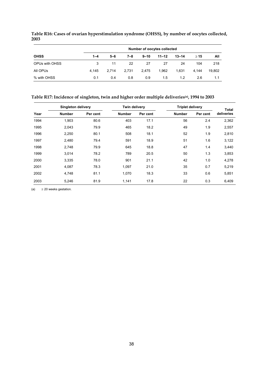|                |         | Number of oocytes collected |       |          |           |           |           |        |  |  |  |
|----------------|---------|-----------------------------|-------|----------|-----------|-----------|-----------|--------|--|--|--|
| <b>OHSS</b>    | $1 - 4$ | $5 - 6$                     | 7–8   | $9 - 10$ | $11 - 12$ | $13 - 14$ | $\geq$ 15 | All    |  |  |  |
| OPUs with OHSS | 3       | 11                          | 22    | 27       | 27        | 24        | 104       | 218    |  |  |  |
| All OPUs       | 4.145   | 2.714                       | 2.731 | 2.475    | 1.962     | 1.631     | 4.144     | 19,802 |  |  |  |
| % with OHSS    | 0.1     | 0.4                         | 0.8   | 0.9      | 1.5       | 1.2       | 2.6       | 1.1    |  |  |  |

**Table R16: Cases of ovarian hyperstimulation syndrome (OHSS), by number of oocytes collected, 2003** 

### **Table R17: Incidence of singleton, twin and higher order multiple deliveries(a), 1994 to 2003**

|      | <b>Singleton delivery</b> |          | Twin delivery |          | <b>Triplet delivery</b> | <b>Total</b> |            |
|------|---------------------------|----------|---------------|----------|-------------------------|--------------|------------|
| Year | <b>Number</b>             | Per cent | <b>Number</b> | Per cent | <b>Number</b>           | Per cent     | deliveries |
| 1994 | 1,903                     | 80.6     | 403           | 17.1     | 56                      | 2.4          | 2,362      |
| 1995 | 2,043                     | 79.9     | 465           | 18.2     | 49                      | 1.9          | 2,557      |
| 1996 | 2,250                     | 80.1     | 508           | 18.1     | 52                      | 1.9          | 2,810      |
| 1997 | 2,480                     | 79.4     | 591           | 18.9     | 51                      | 1.6          | 3,122      |
| 1998 | 2,748                     | 79.9     | 645           | 18.8     | 47                      | 1.4          | 3,440      |
| 1999 | 3,014                     | 78.2     | 789           | 20.5     | 50                      | 1.3          | 3,853      |
| 2000 | 3,335                     | 78.0     | 901           | 21.1     | 42                      | 1.0          | 4,278      |
| 2001 | 4,087                     | 78.3     | 1,097         | 21.0     | 35                      | 0.7          | 5,219      |
| 2002 | 4,748                     | 81.1     | 1,070         | 18.3     | 33                      | 0.6          | 5,851      |
| 2003 | 5,246                     | 81.9     | 1,141         | 17.8     | 22                      | 0.3          | 6,409      |

(a)  $\geq 20$  weeks gestation.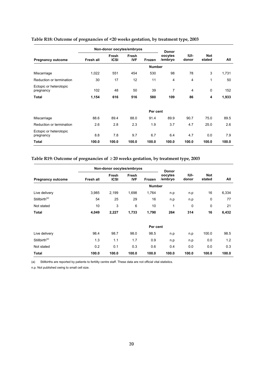|                                     |           | Non-donor oocytes/embryos |                     |               | <b>Donor</b>       |                |                      |       |
|-------------------------------------|-----------|---------------------------|---------------------|---------------|--------------------|----------------|----------------------|-------|
| <b>Pregnancy outcome</b>            | Fresh all | Fresh<br><b>ICSI</b>      | Fresh<br><b>IVF</b> | Frozen        | oocytes<br>/embryo | IUI-<br>donor  | <b>Not</b><br>stated | All   |
|                                     |           |                           |                     | <b>Number</b> |                    |                |                      |       |
| Miscarriage                         | 1,022     | 551                       | 454                 | 530           | 98                 | 78             | 3                    | 1,731 |
| Reduction or termination            | 30        | 17                        | 12                  | 11            | 4                  | $\overline{4}$ | 1                    | 50    |
| Ectopic or heterotopic<br>pregnancy | 102       | 48                        | 50                  | 39            | $\overline{7}$     | $\overline{4}$ | $\mathbf 0$          | 152   |
| <b>Total</b>                        | 1,154     | 616                       | 516                 | 580           | 109                | 86             | 4                    | 1,933 |
|                                     |           |                           |                     |               |                    |                |                      |       |
|                                     |           |                           |                     | Per cent      |                    |                |                      |       |
| Miscarriage                         | 88.6      | 89.4                      | 88.0                | 91.4          | 89.9               | 90.7           | 75.0                 | 89.5  |
| Reduction or termination            | 2.6       | 2.8                       | 2.3                 | 1.9           | 3.7                | 4.7            | 25.0                 | 2.6   |
| Ectopic or heterotopic<br>pregnancy | 8.8       | 7.8                       | 9.7                 | 6.7           | 6.4                | 4.7            | 0.0                  | 7.9   |
| <b>Total</b>                        | 100.0     | 100.0                     | 100.0               | 100.0         | 100.0              | 100.0          | 100.0                | 100.0 |

# **Table R18: Outcome of pregnancies of <20 weeks gestation, by treatment type, 2003**

# **Table R19: Outcome of pregnancies of** ≥ **20 weeks gestation, by treatment type, 2003**

|                           |           | Non-donor oocytes/embryos |                     |               | Donor              |               |                      |       |
|---------------------------|-----------|---------------------------|---------------------|---------------|--------------------|---------------|----------------------|-------|
| <b>Pregnancy outcome</b>  | Fresh all | Fresh<br><b>ICSI</b>      | Fresh<br><b>IVF</b> | Frozen        | oocytes<br>/embryo | IUI-<br>donor | <b>Not</b><br>stated | All   |
|                           |           |                           |                     | <b>Number</b> |                    |               |                      |       |
| Live delivery             | 3,985     | 2,199                     | 1,698               | 1,764         | n.p                | n.p           | 16                   | 6,334 |
| Stillbirth <sup>(a)</sup> | 54        | 25                        | 29                  | 16            | n.p                | n.p           | 0                    | 77    |
| Not stated                | 10        | 3                         | 6                   | 10            | 1                  | 0             | 0                    | 21    |
| <b>Total</b>              | 4,049     | 2,227                     | 1,733               | 1,790         | 264                | 314           | 16                   | 6,432 |
|                           |           |                           |                     | Per cent      |                    |               |                      |       |
| Live delivery             | 98.4      | 98.7                      | 98.0                | 98.5          | n.p                | n.p           | 100.0                | 98.5  |
| Stillbirth <sup>(a)</sup> | 1.3       | 1.1                       | 1.7                 | 0.9           | n.p                | n.p           | 0.0                  | 1.2   |
| Not stated                | 0.2       | 0.1                       | 0.3                 | 0.6           | 0.4                | 0.0           | 0.0                  | 0.3   |
| <b>Total</b>              | 100.0     | 100.0                     | 100.0               | 100.0         | 100.0              | 100.0         | 100.0                | 100.0 |

(a) Stillbirths are reported by patients to fertility centre staff. These data are not official vital statistics.

n.p. Not published owing to small cell size.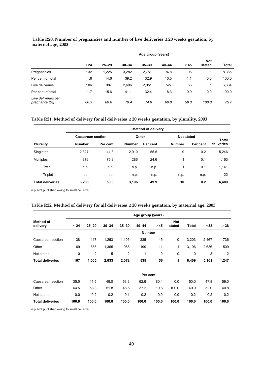|                                      | Age group (years) |           |           |           |           |           |                      |              |  |  |
|--------------------------------------|-------------------|-----------|-----------|-----------|-----------|-----------|----------------------|--------------|--|--|
|                                      | $\leq 24$         | $25 - 29$ | $30 - 34$ | $35 - 39$ | $40 - 44$ | $\geq 45$ | <b>Not</b><br>stated | <b>Total</b> |  |  |
| Pregnancies                          | 132               | 1,225     | 3,282     | 2.751     | 878       | 96        |                      | 8,365        |  |  |
| Per cent of total                    | 1.6               | 14.6      | 39.2      | 32.9      | 10.5      | 1.1       | 0.0                  | 100.0        |  |  |
| Live deliveries                      | 106               | 987       | 2.606     | 2,051     | 527       | 56        | 1                    | 6,334        |  |  |
| Per cent of total                    | 1.7               | 15.6      | 41.1      | 32.4      | 8.3       | 0.9       | 0.0                  | 100.0        |  |  |
| Live deliveries per<br>pregnancy (%) | 80.3              | 80.6      | 79.4      | 74.6      | 60.0      | 58.3      | 100.0                | 75.7         |  |  |

### **Table R20: Number of pregnancies and number of live deliveries** ≥ **20 weeks gestation, by maternal age, 2003**

### **Table R21: Method of delivery for all deliveries** ≥ **20 weeks gestation, by plurality, 2003**

|                         |                          |          |               | <b>Method of delivery</b> |               |                   |                            |  |
|-------------------------|--------------------------|----------|---------------|---------------------------|---------------|-------------------|----------------------------|--|
|                         | <b>Caesarean section</b> |          |               | Other                     |               | <b>Not stated</b> |                            |  |
| <b>Plurality</b>        | <b>Number</b>            | Per cent | <b>Number</b> | Per cent                  | <b>Number</b> | Per cent          | <b>Total</b><br>deliveries |  |
| Singleton               | 2,327                    | 44.3     | 2,910         | 55.5                      | 9             | 0.2               | 5,246                      |  |
| <b>Multiples</b>        | 876                      | 75.3     | 286           | 24.6                      | 1             | 0.1               | 1,163                      |  |
| Twin                    | n.p.                     | n.p.     | n.p.          | n.p.                      | 1             | 0.1               | 1,141                      |  |
| Triplet                 | n.p.                     | n.p.     | n.p.          | n.p.                      | n.p.          | n.p.              | 22                         |  |
| <b>Total deliveries</b> | 3,203                    | 50.0     | 3,196         | 49.9                      | 10            | 0.2               | 6,409                      |  |

n.p. Not published owing to small cell size.

### **Table R22: Method of delivery for all deliveries** ≥ **20 weeks gestation, by maternal age, 2003**

|                              |             |                |           |                | Age group (years) |           |                      |              |       |                |
|------------------------------|-------------|----------------|-----------|----------------|-------------------|-----------|----------------------|--------------|-------|----------------|
| <b>Method of</b><br>delivery | $\leq 24$   | $25 - 29$      | $30 - 34$ | $35 - 39$      | $40 - 44$         | $\geq 45$ | <b>Not</b><br>stated | <b>Total</b> | $38$  | $\geq 38$      |
|                              |             |                |           |                | <b>Number</b>     |           |                      |              |       |                |
| Caesarean section            | 38          | 417            | 1,263     | 1,105          | 335               | 45        | $\mathbf 0$          | 3,203        | 2,467 | 736            |
| Other                        | 69          | 586            | 1,365     | 965            | 199               | 11        | 1                    | 3,196        | 2,686 | 509            |
| Not stated                   | $\mathbf 0$ | $\overline{2}$ | 5         | $\overline{2}$ | 1                 | 0         | 0                    | 10           | 8     | $\overline{2}$ |
| <b>Total deliveries</b>      | 107         | 1,005          | 2,633     | 2,072          | 535               | 56        | 1                    | 6,409        | 5,161 | 1,247          |
|                              |             |                |           |                | Per cent          |           |                      |              |       |                |
| Caesarean section            | 35.5        | 41.5           | 48.0      | 53.3           | 62.6              | 80.4      | 0.0                  | 50.0         | 47.8  | 59.0           |
| Other                        | 64.5        | 58.3           | 51.8      | 46.6           | 37.2              | 19.6      | 100.0                | 49.9         | 52.0  | 40.8           |
| Not stated                   | 0.0         | 0.2            | 0.2       | 0.1            | 0.2               | 0.0       | 0.0                  | 0.2          | 0.2   | 0.2            |
| <b>Total deliveries</b>      | 100.0       | 100.0          | 100.0     | 100.0          | 100.0             | 100.0     | 100.0                | 100.0        | 100.0 | 100.0          |

n.p. Not published owing to small cell size.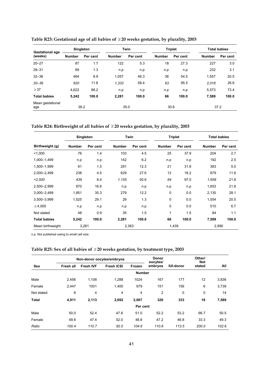| <b>Gestational age</b>  | <b>Singleton</b> |          |               | Twin     |               | <b>Triplet</b> | <b>Total babies</b> |          |
|-------------------------|------------------|----------|---------------|----------|---------------|----------------|---------------------|----------|
| (weeks)                 | <b>Number</b>    | Per cent | <b>Number</b> | Per cent | <b>Number</b> | Per cent       | <b>Number</b>       | Per cent |
| $20 - 27$               | 87               | 1.7      | 122           | 5.3      | 18            | 27.3           | 227                 | 3.0      |
| $28 - 31$               | 69               | 1.3      | n.p           | n.p      | n.p           | n.p            | 232                 | 3.1      |
| $32 - 36$               | 464              | 8.9      | 1,057         | 46.3     | 36            | 54.5           | 1,557               | 20.5     |
| $20 - 36$               | 620              | 11.8     | 1,333         | 58.4     | 63            | 95.5           | 2.016               | 26.6     |
| $\geq 37$               | 4,622            | 88.2     | n.p           | n.p      | n.p           | n.p            | 5,573               | 73.4     |
| <b>Total babies</b>     | 5,242            | 100.0    | 2,281         | 100.0    | 66            | 100.0          | 7,589               | 100.0    |
| Mean gestational<br>age |                  | 38.2     |               | 35.0     |               | 30.6           |                     | 37.2     |

**Table R23: Gestational age of all babies of** ≥ **20 weeks gestation, by plurality, 2003** 

**Table R24: Birthweight of all babies of** ≥ **20 weeks gestation, by plurality, 2003** 

|                     | Singleton     |          |               | Twin     | <b>Triplet</b> |          |               | <b>Total babies</b> |
|---------------------|---------------|----------|---------------|----------|----------------|----------|---------------|---------------------|
| Birthweight (g)     | <b>Number</b> | Per cent | <b>Number</b> | Per cent | <b>Number</b>  | Per cent | <b>Number</b> | Per cent            |
| 1,000               | 76            | 1.4      | 103           | 4.5      | 25             | 37.9     | 204           | 2.7                 |
| 1,000-1,499         | n.p           | n.p      | 142           | 6.2      | n.p            | n.p      | 192           | 2.5                 |
| 1,500-1,999         | 81            | 1.5      | 281           | 12.3     | 21             | 31.8     | 383           | 5.0                 |
| 2,000-2,499         | 238           | 4.5      | 629           | 27.6     | 12             | 18.2     | 879           | 11.6                |
| < 2,500             | 439           | 8.4      | 1,155         | 50.6     | 64             | 97.0     | 1,658         | 21.8                |
| 2,500-2,999         | 870           | 16.6     | n.p           | n.p      | n.p            | n.p      | 1,653         | 21.8                |
| 3,000-3,499         | 1,851         | 35.3     | 279           | 12.2     | $\mathbf 0$    | 0.0      | 2,130         | 28.1                |
| 3,500-3,999         | 1,525         | 29.1     | 29            | 1.3      | 0              | 0.0      | 1,554         | 20.5                |
| $\geq 4,000$        | n.p           | n.p      | n.p           | n.p      | 0              | 0.0      | 510           | 6.7                 |
| Not stated          | 48            | 0.9      | 35            | 1.5      | 1              | 1.5      | 84            | 1.1                 |
| <b>Total babies</b> | 5,242         | 100.0    | 2,281         | 100.0    | 66             | 100.0    | 7,589         | 100.0               |
| Mean birthweight    | 3,281         |          |               | 2,363    | 1,439          |          | 2,990         |                     |

n.p. Not published owing to small cell size.

|              |           |                  | Non-donor oocytes/embryos |               | <b>Donor</b><br>oocytes/ |                  | Other/<br><b>Not</b> |       |
|--------------|-----------|------------------|---------------------------|---------------|--------------------------|------------------|----------------------|-------|
| Sex          | Fresh all | <b>Fresh IVF</b> | <b>Fresh ICSI</b>         | Frozen        | embryos                  | <b>IUI-donor</b> | stated               | All   |
|              |           |                  |                           | <b>Number</b> |                          |                  |                      |       |
| Male         | 2,456     | 1,108            | 1,288                     | 1024          | 167                      | 177              | 12                   | 3,836 |
| Female       | 2,447     | 1001             | 1,400                     | 979           | 151                      | 156              | 6                    | 3,739 |
| Not stated   | 8         | 4                | 4                         | 4             | 2                        | 0                | 0                    | 14    |
| <b>Total</b> | 4,911     | 2,113            | 2,692                     | 2,007         | 320                      | 333              | 18                   | 7,589 |
|              |           |                  |                           | Per cent      |                          |                  |                      |       |
| Male         | 50.0      | 52.4             | 47.8                      | 51.0          | 52.2                     | 53.2             | 66.7                 | 50.5  |
| Female       | 49.8      | 47.4             | 52.0                      | 48.8          | 47.2                     | 46.8             | 33.3                 | 49.3  |
| Ratio        | 100.4     | 110.7            | 92.0                      | 104.6         | 110.6                    | 113.5            | 200.0                | 102.6 |

### **Table R25: Sex of all babies of** ≥ **20 weeks gestation, by treatment type, 2003**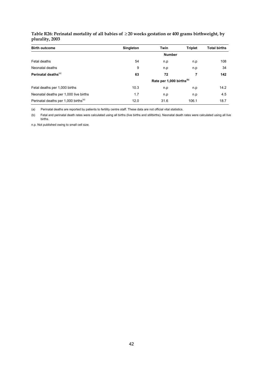| Table R26: Perinatal mortality of all babies of $\geq$ 20 weeks gestation or 400 grams birthweight, by |  |  |
|--------------------------------------------------------------------------------------------------------|--|--|
| plurality, 2003                                                                                        |  |  |

| <b>Birth outcome</b>                             | <b>Singleton</b> | <b>Twin</b>                          | <b>Triplet</b> | <b>Total births</b> |
|--------------------------------------------------|------------------|--------------------------------------|----------------|---------------------|
|                                                  |                  | <b>Number</b>                        |                |                     |
| Fetal deaths                                     | 54               | n.p                                  | n.p            | 108                 |
| Neonatal deaths                                  | 9                | n.p                                  | n.p            | 34                  |
| Perinatal deaths <sup>(a)</sup>                  | 63               | 72                                   | 7              | 142                 |
|                                                  |                  | Rate per 1,000 births <sup>(b)</sup> |                |                     |
| Fetal deaths per 1,000 births                    | 10.3             | n.p                                  | n.p            | 14.2                |
| Neonatal deaths per 1,000 live births            | 1.7              | n.p                                  | n.p            | 4.5                 |
| Perinatal deaths per 1,000 births <sup>(a)</sup> | 12.0             | 31.6                                 | 106.1          | 18.7                |

(a) Perinatal deaths are reported by patients to fertility centre staff. These data are not official vital statistics.

(b) Fetal and perinatal death rates were calculated using all births (live births and stillbirths). Neonatal death rates were calculated using all live births.

n.p. Not published owing to small cell size.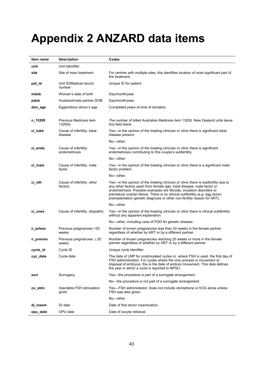# **Appendix 2 ANZARD data items**

| Item name | <b>Description</b>                      | Codes                                                                                                                                                                                                                                                                                                                                                                                                |  |
|-----------|-----------------------------------------|------------------------------------------------------------------------------------------------------------------------------------------------------------------------------------------------------------------------------------------------------------------------------------------------------------------------------------------------------------------------------------------------------|--|
| unit      | Unit identifier                         |                                                                                                                                                                                                                                                                                                                                                                                                      |  |
| site      | Site of main treatment                  | For centres with multiple sites, this identifies location of most significant part of<br>the treatment.                                                                                                                                                                                                                                                                                              |  |
| pat_id    | Unit ID/Medical record<br>number        | Unique ID for patient.                                                                                                                                                                                                                                                                                                                                                                               |  |
| mdob      | Woman's date of birth                   | Day/month/year.                                                                                                                                                                                                                                                                                                                                                                                      |  |
| pdob      | Husband/male partner DOB                | Day/month/year.                                                                                                                                                                                                                                                                                                                                                                                      |  |
| don_age   | Egg/embryo donor's age                  | Completed years at time of donation.                                                                                                                                                                                                                                                                                                                                                                 |  |
| n_13200   | Previous Medicare item<br>13200s        | The number of billed Australian Medicare item 13200. New Zealand units leave<br>this field blank.                                                                                                                                                                                                                                                                                                    |  |
| ci_tube   | Cause of infertility: tubal<br>disease  | Yes—in the opinion of the treating clinician or clinic there is significant tubal<br>disease present.                                                                                                                                                                                                                                                                                                |  |
|           |                                         | No-other.                                                                                                                                                                                                                                                                                                                                                                                            |  |
| ci_endo   | Cause of infertility:<br>endometriosis  | Yes—in the opinion of the treating clinician or clinic there is significant<br>endometriosis contributing to this couple's subfertility.                                                                                                                                                                                                                                                             |  |
|           |                                         | No-other.                                                                                                                                                                                                                                                                                                                                                                                            |  |
| ci_male   | Cause of infertility: male<br>factor    | Yes—in the opinion of the treating clinician or clinic there is a significant male<br>factor problem.                                                                                                                                                                                                                                                                                                |  |
|           |                                         | No-other.                                                                                                                                                                                                                                                                                                                                                                                            |  |
| ci_oth    | Cause of infertility: other<br>factors  | Yes—in the opinion of the treating clinician or clinic there is subfertility due to<br>any other factors apart from female age, tubal disease, male factor or<br>endometriosis. Possible examples are fibroids, ovulation disorders or<br>premature ovarian failure. There is no clinical subfertility (e.g. egg donor,<br>preimplantation genetic diagnosis or other non-fertility reason for ART). |  |
|           |                                         | No-other.                                                                                                                                                                                                                                                                                                                                                                                            |  |
| ci_unex   | Cause of infertility: idiopathic        | Yes—in the opinion of the treating clinician or clinic there is clinical subfertility<br>without any apparent explanation.                                                                                                                                                                                                                                                                           |  |
|           |                                         | No-other, including case of PGD for genetic disease.                                                                                                                                                                                                                                                                                                                                                 |  |
| n_priess  | Previous pregnancies <20<br>weeks       | Number of known pregnancies less than 20 weeks in the female partner<br>regardless of whether by ART or by a different partner.                                                                                                                                                                                                                                                                      |  |
| n_prmore  | Previous pregnancies $\geq 20$<br>weeks | Number of known pregnancies reaching 20 weeks or more in the female<br>partner regardless of whether by ART or by a different partner.                                                                                                                                                                                                                                                               |  |
| cycle_id  | Cycle ID                                | Unique cycle identifier.                                                                                                                                                                                                                                                                                                                                                                             |  |
| cyc_date  | Cycle date                              | The date of LMP for unstimulated cycles or, where FSH is used, the first day of<br>FSH administration. For cycles where the only process is movement or<br>disposal of embryos, this is the date of embryo movement. This date defines<br>the year in which a cycle is reported to NPSU.                                                                                                             |  |
| surr      | Surrogacy                               | Yes—the procedure is part of a surrogate arrangement.                                                                                                                                                                                                                                                                                                                                                |  |
|           |                                         | No—the procedure is not part of a surrogate arrangement.                                                                                                                                                                                                                                                                                                                                             |  |
| ov stim   | Injectable FSH stimulation<br>given     | Yes—FSH administered. Does not include clomiphene or hCG alone unless<br>FSH was also given.                                                                                                                                                                                                                                                                                                         |  |
|           |                                         | No-other.                                                                                                                                                                                                                                                                                                                                                                                            |  |
| di_insem  | DI date                                 | Date of first donor insemination.                                                                                                                                                                                                                                                                                                                                                                    |  |
| opu_date  | OPU date                                | Date of oocyte retrieval.                                                                                                                                                                                                                                                                                                                                                                            |  |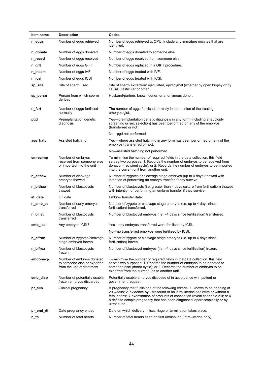| Item name | <b>Description</b>                                                                     | Codes                                                                                                                                                                                                                                                                                                                                                     |  |
|-----------|----------------------------------------------------------------------------------------|-----------------------------------------------------------------------------------------------------------------------------------------------------------------------------------------------------------------------------------------------------------------------------------------------------------------------------------------------------------|--|
| n_eggs    | Number of eggs retrieved                                                               | Number of eggs retrieved at OPU. Include any immature oocytes that are<br>identified.                                                                                                                                                                                                                                                                     |  |
| n_donate  | Number of eggs donated                                                                 | Number of eggs donated to someone else.                                                                                                                                                                                                                                                                                                                   |  |
| n_recvd   | Number of eggs received                                                                | Number of eggs received from someone else.                                                                                                                                                                                                                                                                                                                |  |
| n_gift    | Number of eggs GIFT                                                                    | Number of eggs replaced in a GIFT procedure.                                                                                                                                                                                                                                                                                                              |  |
| n_insem   | Number of eggs IVF                                                                     | Number of eggs treated with IVF.                                                                                                                                                                                                                                                                                                                          |  |
| n_icsi    | Number of eggs ICSI                                                                    | Number of eggs treated with ICSI.                                                                                                                                                                                                                                                                                                                         |  |
| sp_site   | Site of sperm used                                                                     | Site of sperm extraction: ejaculated, epididymal (whether by open biopsy or by<br>PESA), testicular or other.                                                                                                                                                                                                                                             |  |
| sp_persn  | Person from which sperm<br>derives                                                     | Husband/partner, known donor, or anonymous donor.                                                                                                                                                                                                                                                                                                         |  |
| n_fert    | Number of eggs fertilised<br>normally                                                  | The number of eggs fertilised normally in the opinion of the treating<br>embryologist.                                                                                                                                                                                                                                                                    |  |
| pgd       | Preimplantation genetic<br>diagnosis                                                   | Yes—preimplantation genetic diagnosis in any form (including aneuploidy<br>screening or sex selection) has been performed on any of the embryos<br>(transferred or not).                                                                                                                                                                                  |  |
|           |                                                                                        | No-pgd not performed.                                                                                                                                                                                                                                                                                                                                     |  |
| ass_hatc  | Assisted hatching                                                                      | Yes—where assisted hatching in any form has been performed on any of the<br>embryos (transferred or not).                                                                                                                                                                                                                                                 |  |
|           |                                                                                        | No-assisted hatching not performed.                                                                                                                                                                                                                                                                                                                       |  |
| emrecimp  | Number of embryos<br>received from someone else<br>or imported into the unit           | To minimise the number of required fields in the data collection, this field<br>serves two purposes: 1. Records the number of embryos to be received from<br>donation (recipient cycle); or 2. Records the number of embryos to be imported<br>into the current unit from another unit.                                                                   |  |
| n_cithaw  | Number of cleavage<br>embryos thawed                                                   | Number of zygotes or cleavage stage embryos (up to 4 days) thawed with<br>intention of performing an embryo transfer if they survive.                                                                                                                                                                                                                     |  |
| n_bithaw  | Number of blastocysts<br>thawed                                                        | Number of blastocysts (i.e. greater than 4 days culture from fertilisation) thawed<br>with intention of performing an embryo transfer if they survive.                                                                                                                                                                                                    |  |
| et_date   | ET date                                                                                | Embryo transfer date.                                                                                                                                                                                                                                                                                                                                     |  |
| n emb et  | Number of early embryos<br>transferred                                                 | Number of zygote or cleavage stage embryos (i.e. up to 4 days since<br>fertilisation) transferred.                                                                                                                                                                                                                                                        |  |
| n_bl_et   | Number of blastocysts<br>transferred                                                   | Number of blastocyst embryos (i.e. >4 days since fertilisation) transferred.                                                                                                                                                                                                                                                                              |  |
| emb icsi  | Any embryos ICSI?                                                                      | Yes—any embryos transferred were fertilised by ICSI.                                                                                                                                                                                                                                                                                                      |  |
|           |                                                                                        | No-no transferred embryos were fertilised by ICSI.                                                                                                                                                                                                                                                                                                        |  |
| n_clfroz  | Number of zygotes/cleavage<br>stage embryos frozen                                     | Number of zygote or cleavage stage embryos (i.e. up to 4 days since<br>fertilisation) frozen.                                                                                                                                                                                                                                                             |  |
| n_blfroz  | Number of blastocysts<br>frozen                                                        | Number of blastocyst embryos (i.e. >4 days since fertilisation) frozen.                                                                                                                                                                                                                                                                                   |  |
| emdonexp  | Number of embryos donated<br>to someone else or exported<br>from the unit of treatment | To minimise the number of required fields in the data collection, this field<br>serves two purposes: 1. Records the number of embryos to be donated to<br>someone else (donor cycle); or 2. Records the number of embryos to be<br>exported from the current unit to another unit.                                                                        |  |
| emb_disp  | Number of potentially usable<br>frozen embryos discarded                               | Potentially usable embryos disposed of in accordance with patient or<br>government request.                                                                                                                                                                                                                                                               |  |
| pr_clin   | Clinical pregnancy                                                                     | A pregnancy that fulfils one of the following criteria: 1. known to be ongoing at<br>20 weeks; 2. evidence by ultrasound of an intra-uterine sac (with or without a<br>fetal heart); 3. examination of products of conception reveal chorionic villi; or 4.<br>a definite ectopic pregnancy that has been diagnosed laparoscopically or by<br>ultrasound. |  |
| pr_end_dt | Date pregnancy ended                                                                   | Date on which delivery, miscarriage or termination takes place.                                                                                                                                                                                                                                                                                           |  |
| n_fh      | Number of fetal hearts                                                                 | Number of fetal hearts seen on first ultrasound (intra-uterine only).                                                                                                                                                                                                                                                                                     |  |
|           |                                                                                        |                                                                                                                                                                                                                                                                                                                                                           |  |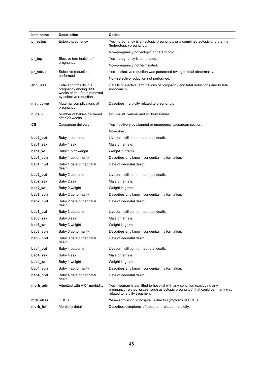| Item name                       | <b>Description</b>                                                                                      | Codes                                                                                                                                                                                   |  |
|---------------------------------|---------------------------------------------------------------------------------------------------------|-----------------------------------------------------------------------------------------------------------------------------------------------------------------------------------------|--|
| pr_ectop                        | Ectopic pregnancy                                                                                       | Yes—pregnancy is an ectopic pregnancy, or a combined ectopic and uterine<br>(heterotopic) pregnancy.                                                                                    |  |
|                                 |                                                                                                         | No-pregnancy not ectopic or heterotopic.                                                                                                                                                |  |
| pr_top                          | Elective termination of                                                                                 | Yes-pregnancy is terminated.                                                                                                                                                            |  |
|                                 | pregnancy                                                                                               | No-pregnancy not terminated.                                                                                                                                                            |  |
| Selective reduction<br>pr_reduc |                                                                                                         | Yes—selective reduction was performed owing to fetal abnormality.                                                                                                                       |  |
|                                 | performed                                                                                               | No-selective reduction not performed.                                                                                                                                                   |  |
| abn_less                        | Fetal abnormality in a<br>pregnancy ending <20<br>weeks or in a fetus removed<br>by selective reduction | Details of elective terminations of pregnancy and fetal reductions due to fetal<br>abnormality.                                                                                         |  |
| mat_comp                        | Maternal complications of<br>pregnancy                                                                  | Describes morbidity related to pregnancy.                                                                                                                                               |  |
| n_deliv                         | Number of babies delivered<br>after 20 weeks                                                            | Include all liveborn and stillborn babies.                                                                                                                                              |  |
| СS                              | Caesarean delivery                                                                                      | Yes—delivery by planned or emergency caesarean section.                                                                                                                                 |  |
|                                 |                                                                                                         | No-other.                                                                                                                                                                               |  |
| bab1_out                        | Baby 1 outcome                                                                                          | Liveborn, stillborn or neonatal death.                                                                                                                                                  |  |
| bab1_sex                        | Baby 1 sex                                                                                              | Male or female.                                                                                                                                                                         |  |
| bab1 wt                         | Baby 1 birthweight                                                                                      | Weight in grams.                                                                                                                                                                        |  |
| bab1 abn                        | Baby 1 abnormality                                                                                      | Describes any known congenital malformation.                                                                                                                                            |  |
| bab1_nnd                        | Baby 1 date of neonatal<br>death                                                                        | Date of neonatal death.                                                                                                                                                                 |  |
| bab2_out                        | Baby 2 outcome                                                                                          | Liveborn, stillborn or neonatal death.                                                                                                                                                  |  |
| bab2_sex                        | Baby 2 sex                                                                                              | Male or female.                                                                                                                                                                         |  |
| bab2_wt                         | Baby 2 weight                                                                                           | Weight in grams.                                                                                                                                                                        |  |
| bab2_abn                        | Baby 2 abnormality                                                                                      | Describes any known congenital malformation.                                                                                                                                            |  |
| bab2_nnd                        | Baby 2 date of neonatal<br>death                                                                        | Date of neonatal death.                                                                                                                                                                 |  |
| bab3 out                        | Baby 3 outcome                                                                                          | Liveborn, stillborn or neonatal death.                                                                                                                                                  |  |
| bab3_sex                        | Baby 3 sex                                                                                              | Male or female.                                                                                                                                                                         |  |
| bab3 wt                         | Baby 3 weight                                                                                           | Weight in grams.                                                                                                                                                                        |  |
| bab3_abn                        | Baby 3 abnormality                                                                                      | Describes any known congenital malformation.                                                                                                                                            |  |
| bab3_nnd                        | Baby 3 date of neonatal<br>death                                                                        | Date of neonatal death.                                                                                                                                                                 |  |
| bab4_out                        | Baby 4 outcome                                                                                          | Liveborn, stillborn or neonatal death.                                                                                                                                                  |  |
| bab4_sex                        | Baby 4 sex                                                                                              | Male or female.                                                                                                                                                                         |  |
| bab4 wt                         | Baby 4 weight                                                                                           | Weight in grams.                                                                                                                                                                        |  |
| bab4 abn                        | Baby 4 abnormality                                                                                      | Describes any known congenital malformation.                                                                                                                                            |  |
| bab4 nnd                        | Baby 4 date of neonatal<br>death                                                                        | Date of neonatal death.                                                                                                                                                                 |  |
| morb_adm                        | Admitted with ART morbidity                                                                             | Yes—woman is admitted to hospital with any condition (excluding any<br>pregnancy-related issues, such as ectopic pregnancy) that could be in any way<br>related to fertility treatment. |  |
| mrb_ohss                        | OHSS                                                                                                    | Yes—admission to hospital is due to symptoms of OHSS.                                                                                                                                   |  |
| morb_inf                        | Morbidity detail                                                                                        | Describes symptoms of treatment-related morbidity.                                                                                                                                      |  |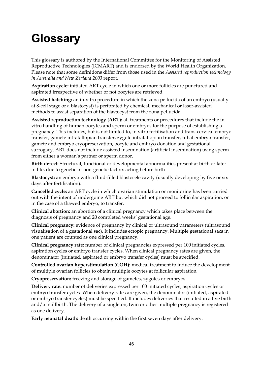# **Glossary**

This glossary is authored by the International Committee for the Monitoring of Assisted Reproductive Technologies (ICMART) and is endorsed by the World Health Organization. Please note that some definitions differ from those used in the *Assisted reproduction technology in Australia and New Zealand 2003* report.

**Aspiration cycle:** initiated ART cycle in which one or more follicles are punctured and aspirated irrespective of whether or not oocytes are retrieved.

**Assisted hatching:** an in-vitro procedure in which the zona pellucida of an embryo (usually at 8-cell stage or a blastocyst) is perforated by chemical, mechanical or laser-assisted methods to assist separation of the blastocyst from the zona pellucida.

**Assisted reproduction technology (ART):** all treatments or procedures that include the in vitro handling of human oocytes and sperm or embryos for the purpose of establishing a pregnancy. This includes, but is not limited to, in vitro fertilisation and trans-cervical embryo transfer, gamete intrafallopian transfer, zygote intrafallopian transfer, tubal embryo transfer, gamete and embryo cryopreservation, oocyte and embryo donation and gestational surrogacy. ART does not include assisted insemination (artificial insemination) using sperm from either a woman's partner or sperm donor.

**Birth defect:** Structural, functional or developmental abnormalities present at birth or later in life, due to genetic or non-genetic factors acting before birth.

**Blastocyst:** an embryo with a fluid-filled blastocele cavity (usually developing by five or six days after fertilisation).

**Cancelled cycle:** an ART cycle in which ovarian stimulation or monitoring has been carried out with the intent of undergoing ART but which did not proceed to follicular aspiration, or in the case of a thawed embryo, to transfer.

**Clinical abortion:** an abortion of a clinical pregnancy which takes place between the diagnosis of pregnancy and 20 completed weeks' gestational age.

**Clinical pregnancy:** evidence of pregnancy by clinical or ultrasound parameters (ultrasound visualisation of a gestational sac). It includes ectopic pregnancy. Multiple gestational sacs in one patient are counted as one clinical pregnancy.

**Clinical pregnancy rate:** number of clinical pregnancies expressed per 100 initiated cycles, aspiration cycles or embryo transfer cycles. When clinical pregnancy rates are given, the denominator (initiated, aspirated or embryo transfer cycles) must be specified.

**Controlled ovarian hyperstimulation (COH):** medical treatment to induce the development of multiple ovarian follicles to obtain multiple oocytes at follicular aspiration.

**Cryopreservation:** freezing and storage of gametes, zygotes or embryos.

**Delivery rate:** number of deliveries expressed per 100 initiated cycles, aspiration cycles or embryo transfer cycles. When delivery rates are given, the denominator (initiated, aspirated or embryo transfer cycles) must be specified. It includes deliveries that resulted in a live birth and/or stillbirth. The delivery of a singleton, twin or other multiple pregnancy is registered as one delivery.

**Early neonatal death:** death occurring within the first seven days after delivery.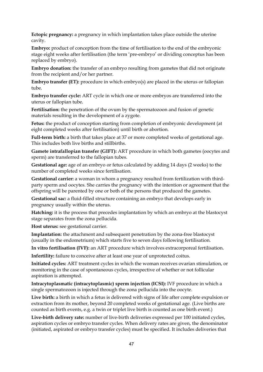**Ectopic pregnancy:** a pregnancy in which implantation takes place outside the uterine cavity.

**Embryo:** product of conception from the time of fertilisation to the end of the embryonic stage eight weeks after fertilisation (the term 'pre-embryo' or dividing conceptus has been replaced by embryo).

**Embryo donation:** the transfer of an embryo resulting from gametes that did not originate from the recipient and/or her partner.

**Embryo transfer (ET):** procedure in which embryo(s) are placed in the uterus or fallopian tube.

**Embryo transfer cycle:** ART cycle in which one or more embryos are transferred into the uterus or fallopian tube.

**Fertilisation:** the penetration of the ovum by the spermatozoon and fusion of genetic materials resulting in the development of a zygote.

**Fetus:** the product of conception starting from completion of embryonic development (at eight completed weeks after fertilisation) until birth or abortion.

**Full-term birth:** a birth that takes place at 37 or more completed weeks of gestational age. This includes both live births and stillbirths.

**Gamete intrafallopian transfer (GIFT):** ART procedure in which both gametes (oocytes and sperm) are transferred to the fallopian tubes.

**Gestational age:** age of an embryo or fetus calculated by adding 14 days (2 weeks) to the number of completed weeks since fertilisation.

**Gestational carrier:** a woman in whom a pregnancy resulted from fertilization with thirdparty sperm and oocytes. She carries the pregnancy with the intention or agreement that the offspring will be parented by one or both of the persons that produced the gametes.

**Gestational sac:** a fluid-filled structure containing an embryo that develops early in pregnancy usually within the uterus.

**Hatching:** it is the process that precedes implantation by which an embryo at the blastocyst stage separates from the zona pellucida.

**Host uterus:** see gestational carrier.

**Implantation:** the attachment and subsequent penetration by the zona-free blastocyst (usually in the endometrium) which starts five to seven days following fertilisation.

**In vitro fertilisation (IVF):** an ART procedure which involves extracorporeal fertilisation.

**Infertility:** failure to conceive after at least one year of unprotected coitus.

**Initiated cycles:** ART treatment cycles in which the woman receives ovarian stimulation, or monitoring in the case of spontaneous cycles, irrespective of whether or not follicular aspiration is attempted.

**Intracytoplasmatic (intracytoplasmic) sperm injection (ICSI):** IVF procedure in which a single spermatozoon is injected through the zona pellucida into the oocyte.

**Live birth:** a birth in which a fetus is delivered with signs of life after complete expulsion or extraction from its mother, beyond 20 completed weeks of gestational age. (Live births are counted as birth events, e.g. a twin or triplet live birth is counted as one birth event.)

**Live-birth delivery rate:** number of live-birth deliveries expressed per 100 initiated cycles, aspiration cycles or embryo transfer cycles. When delivery rates are given, the denominator (initiated, aspirated or embryo transfer cycles) must be specified. It includes deliveries that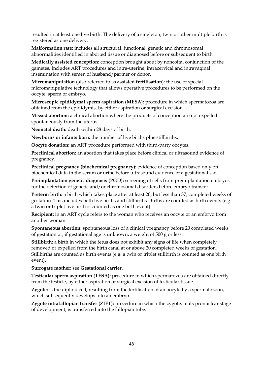resulted in at least one live birth. The delivery of a singleton, twin or other multiple birth is registered as one delivery.

**Malformation rate:** includes all structural, functional, genetic and chromosomal abnormalities identified in aborted tissue or diagnosed before or subsequent to birth.

**Medically assisted conception:** conception brought about by noncoital conjunction of the gametes. Includes ART procedures and intra-uterine, intracervical and intravaginal insemination with semen of husband/partner or donor.

**Micromanipulation** (also referred to as **assisted fertilisation**): the use of special micromanipulative technology that allows operative procedures to be performed on the oocyte, sperm or embryo.

**Microscopic epididymal sperm aspiration (MESA):** procedure in which spermatozoa are obtained from the epididymis, by either aspiration or surgical excision.

**Missed abortion:** a clinical abortion where the products of conception are not expelled spontaneously from the uterus.

**Neonatal death:** death within 28 days of birth.

**Newborns or infants born:** the number of live births plus stillbirths.

**Oocyte donation:** an ART procedure performed with third-party oocytes.

**Preclinical abortion:** an abortion that takes place before clinical or ultrasound evidence of pregnancy.

**Preclinical pregnancy (biochemical pregnancy):** evidence of conception based only on biochemical data in the serum or urine before ultrasound evidence of a gestational sac.

**Preimplantation genetic diagnosis (PGD):** screening of cells from preimplantation embryos for the detection of genetic and/or chromosomal disorders before embryo transfer.

**Preterm birth:** a birth which takes place after at least 20, but less than 37, completed weeks of gestation. This includes both live births and stillbirths. Births are counted as birth events (e.g. a twin or triplet live birth is counted as one birth event).

**Recipient:** in an ART cycle refers to the woman who receives an oocyte or an embryo from another woman.

**Spontaneous abortion:** spontaneous loss of a clinical pregnancy before 20 completed weeks of gestation or, if gestational age is unknown, a weight of 500 g or less.

**Stillbirth:** a birth in which the fetus does not exhibit any signs of life when completely removed or expelled from the birth canal at or above 20 completed weeks of gestation. Stillbirths are counted as birth events (e.g. a twin or triplet stillbirth is counted as one birth event).

## **Surrogate mother:** see **Gestational carrier**.

**Testicular sperm aspiration (TESA):** procedure in which spermatozoa are obtained directly from the testicle, by either aspiration or surgical excision of testicular tissue.

**Zygote:** is the diploid cell, resulting from the fertilisation of an oocyte by a spermatozoon, which subsequently develops into an embryo.

**Zygote intrafallopian transfer (ZIFT):** procedure in which the zygote, in its pronuclear stage of development, is transferred into the fallopian tube.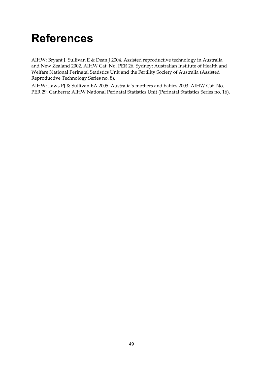# **References**

AIHW: Bryant J, Sullivan E & Dean J 2004. Assisted reproductive technology in Australia and New Zealand 2002. AIHW Cat. No. PER 26. Sydney: Australian Institute of Health and Welfare National Perinatal Statistics Unit and the Fertility Society of Australia (Assisted Reproductive Technology Series no. 8).

AIHW: Laws PJ & Sullivan EA 2005. Australia's mothers and babies 2003. AIHW Cat. No. PER 29. Canberra: AIHW National Perinatal Statistics Unit (Perinatal Statistics Series no. 16).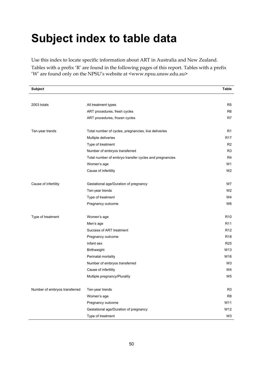# **Subject index to table data**

Use this index to locate specific information about ART in Australia and New Zealand.

Tables with a prefix 'R' are found in the following pages of this report. Tables with a prefix 'W' are found only on the NPSU's website at <www.npsu.unsw.edu.au>

| <b>Subject</b>                |                                                        | <b>Table</b>    |
|-------------------------------|--------------------------------------------------------|-----------------|
|                               |                                                        |                 |
| 2003 totals                   | All treatment types                                    | R <sub>5</sub>  |
|                               | ART procedures, fresh cycles                           | R <sub>6</sub>  |
|                               | ART procedures, frozen cycles                          | R7              |
| Ten-year trends               | Total number of cycles, pregnancies, live deliveries   | R <sub>1</sub>  |
|                               | Multiple deliveries                                    | R17             |
|                               | Type of treatment                                      | R <sub>2</sub>  |
|                               | Number of embryos transferred                          | R <sub>3</sub>  |
|                               | Total number of embryo transfer cycles and pregnancies | R <sub>4</sub>  |
|                               | Women's age                                            | W1              |
|                               | Cause of infertility                                   | W <sub>2</sub>  |
| Cause of infertility          | Gestational age/Duration of pregnancy                  | W7              |
|                               | Ten-year trends                                        | W <sub>2</sub>  |
|                               | Type of treatment                                      | W4              |
|                               | Pregnancy outcome                                      | W6              |
| Type of treatment             | Women's age                                            | R <sub>10</sub> |
|                               | Men's age                                              | R <sub>11</sub> |
|                               | Success of ART treatment                               | R <sub>12</sub> |
|                               | Pregnancy outcome                                      | R <sub>18</sub> |
|                               | Infant sex                                             | R <sub>25</sub> |
|                               | Birthweight                                            | W13             |
|                               | Perinatal mortality                                    | W16             |
|                               | Number of embryos transferred                          | W <sub>3</sub>  |
|                               | Cause of infertility                                   | W4              |
|                               | Multiple pregnancy/Plurality                           | W <sub>5</sub>  |
| Number of embryos transferred | Ten-year trends                                        | R <sub>3</sub>  |
|                               | Women's age                                            | R <sub>8</sub>  |
|                               | Pregnancy outcome                                      | W11             |
|                               | Gestational age/Duration of pregnancy                  | W12             |
|                               | Type of treatment                                      | W3              |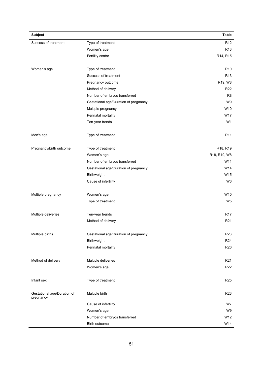| <b>Subject</b>                           |                                       | Table                             |
|------------------------------------------|---------------------------------------|-----------------------------------|
| Success of treatment                     | Type of treatment                     | R <sub>12</sub>                   |
|                                          | Women's age                           | R <sub>13</sub>                   |
|                                          | Fertility centre                      | R14, R15                          |
|                                          |                                       |                                   |
| Women's age                              | Type of treatment                     | R <sub>10</sub>                   |
|                                          | Success of treatment                  | R <sub>13</sub>                   |
|                                          | Pregnancy outcome                     | R19, W8                           |
|                                          | Method of delivery                    | R <sub>22</sub>                   |
|                                          | Number of embryos transferred         | R <sub>8</sub>                    |
|                                          | Gestational age/Duration of pregnancy | W9                                |
|                                          | Multiple pregnancy                    | W10                               |
|                                          | Perinatal mortality                   | W17                               |
|                                          | Ten-year trends                       | W1                                |
| Men's age                                | Type of treatment                     | R <sub>11</sub>                   |
| Pregnancy/birth outcome                  | Type of treatment                     | R <sub>18</sub> , R <sub>19</sub> |
|                                          | Women's age                           | R18, R19, W8                      |
|                                          | Number of embryos transferred         | W11                               |
|                                          | Gestational age/Duration of pregnancy | W14                               |
|                                          | Birthweight                           | W15                               |
|                                          | Cause of infertility                  | W <sub>6</sub>                    |
| Multiple pregnancy                       | Women's age                           | W10                               |
|                                          | Type of treatment                     | W <sub>5</sub>                    |
| Multiple deliveries                      | Ten-year trends                       | R <sub>17</sub>                   |
|                                          | Method of delivery                    | R <sub>21</sub>                   |
|                                          |                                       |                                   |
| Multiple births                          | Gestational age/Duration of pregnancy | R <sub>23</sub>                   |
|                                          | Birthweight                           | R <sub>24</sub>                   |
|                                          | Perinatal mortality                   | R <sub>26</sub>                   |
| Method of delivery                       | Multiple deliveries                   | R <sub>21</sub>                   |
|                                          | Women's age                           | R <sub>22</sub>                   |
|                                          |                                       |                                   |
| Infant sex                               | Type of treatment                     | R <sub>25</sub>                   |
| Gestational age/Duration of<br>pregnancy | Multiple birth                        | R <sub>23</sub>                   |
|                                          | Cause of infertility                  | W7                                |
|                                          | Women's age                           | W9                                |
|                                          | Number of embryos transferred         | W12                               |
|                                          | Birth outcome                         | W14                               |